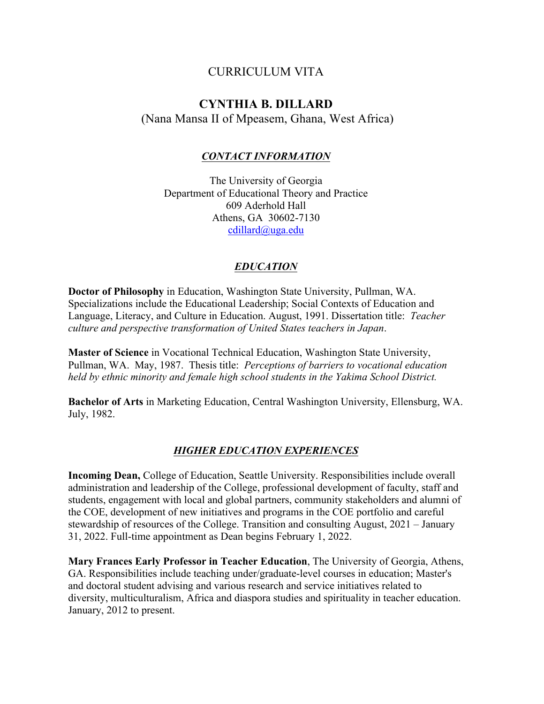# CURRICULUM VITA

# **CYNTHIA B. DILLARD**

(Nana Mansa II of Mpeasem, Ghana, West Africa)

## *CONTACT INFORMATION*

The University of Georgia Department of Educational Theory and Practice 609 Aderhold Hall Athens, GA 30602-7130 cdillard@uga.edu

## *EDUCATION*

**Doctor of Philosophy** in Education, Washington State University, Pullman, WA. Specializations include the Educational Leadership; Social Contexts of Education and Language, Literacy, and Culture in Education. August, 1991. Dissertation title: *Teacher culture and perspective transformation of United States teachers in Japan*.

**Master of Science** in Vocational Technical Education, Washington State University, Pullman, WA. May, 1987. Thesis title: *Perceptions of barriers to vocational education held by ethnic minority and female high school students in the Yakima School District.*

**Bachelor of Arts** in Marketing Education, Central Washington University, Ellensburg, WA. July, 1982.

## *HIGHER EDUCATION EXPERIENCES*

**Incoming Dean,** College of Education, Seattle University. Responsibilities include overall administration and leadership of the College, professional development of faculty, staff and students, engagement with local and global partners, community stakeholders and alumni of the COE, development of new initiatives and programs in the COE portfolio and careful stewardship of resources of the College. Transition and consulting August, 2021 – January 31, 2022. Full-time appointment as Dean begins February 1, 2022.

**Mary Frances Early Professor in Teacher Education**, The University of Georgia, Athens, GA. Responsibilities include teaching under/graduate-level courses in education; Master's and doctoral student advising and various research and service initiatives related to diversity, multiculturalism, Africa and diaspora studies and spirituality in teacher education. January, 2012 to present.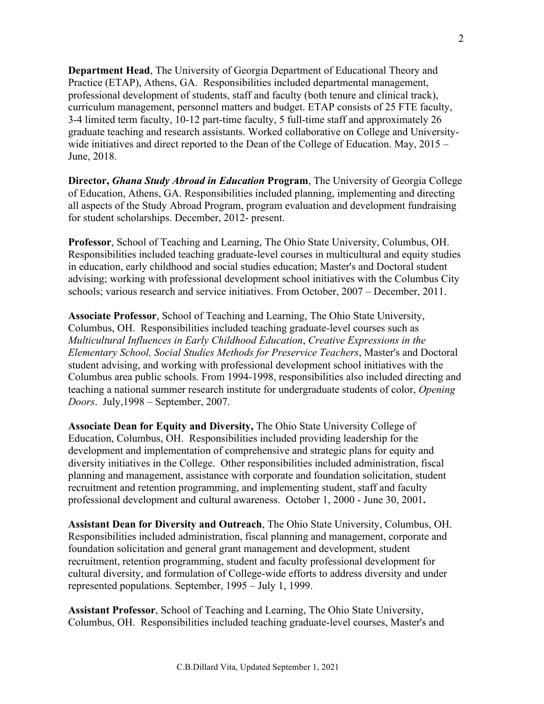**Department Head**, The University of Georgia Department of Educational Theory and Practice (ETAP), Athens, GA. Responsibilities included departmental management, professional development of students, staff and faculty (both tenure and clinical track), curriculum management, personnel matters and budget. ETAP consists of 25 FTE faculty, 3-4 limited term faculty, 10-12 part-time faculty, 5 full-time staff and approximately 26 graduate teaching and research assistants. Worked collaborative on College and Universitywide initiatives and direct reported to the Dean of the College of Education. May, 2015 – June, 2018.

**Director,** *Ghana Study Abroad in Education* **Program**, The University of Georgia College of Education, Athens, GA. Responsibilities included planning, implementing and directing all aspects of the Study Abroad Program, program evaluation and development fundraising for student scholarships. December, 2012- present.

**Professor**, School of Teaching and Learning, The Ohio State University, Columbus, OH. Responsibilities included teaching graduate-level courses in multicultural and equity studies in education, early childhood and social studies education; Master's and Doctoral student advising; working with professional development school initiatives with the Columbus City schools; various research and service initiatives. From October, 2007 – December, 2011.

**Associate Professor**, School of Teaching and Learning, The Ohio State University, Columbus, OH. Responsibilities included teaching graduate-level courses such as *Multicultural Influences in Early Childhood Education*, *Creative Expressions in the Elementary School, Social Studies Methods for Preservice Teachers*, Master's and Doctoral student advising, and working with professional development school initiatives with the Columbus area public schools. From 1994-1998, responsibilities also included directing and teaching a national summer research institute for undergraduate students of color, *Opening Doors*. July,1998 – September, 2007.

**Associate Dean for Equity and Diversity,** The Ohio State University College of Education, Columbus, OH. Responsibilities included providing leadership for the development and implementation of comprehensive and strategic plans for equity and diversity initiatives in the College. Other responsibilities included administration, fiscal planning and management, assistance with corporate and foundation solicitation, student recruitment and retention programming, and implementing student, staff and faculty professional development and cultural awareness. October 1, 2000 - June 30, 2001**.**

**Assistant Dean for Diversity and Outreach**, The Ohio State University, Columbus, OH. Responsibilities included administration, fiscal planning and management, corporate and foundation solicitation and general grant management and development, student recruitment, retention programming, student and faculty professional development for cultural diversity, and formulation of College-wide efforts to address diversity and under represented populations. September, 1995 – July 1, 1999.

**Assistant Professor**, School of Teaching and Learning, The Ohio State University, Columbus, OH. Responsibilities included teaching graduate-level courses, Master's and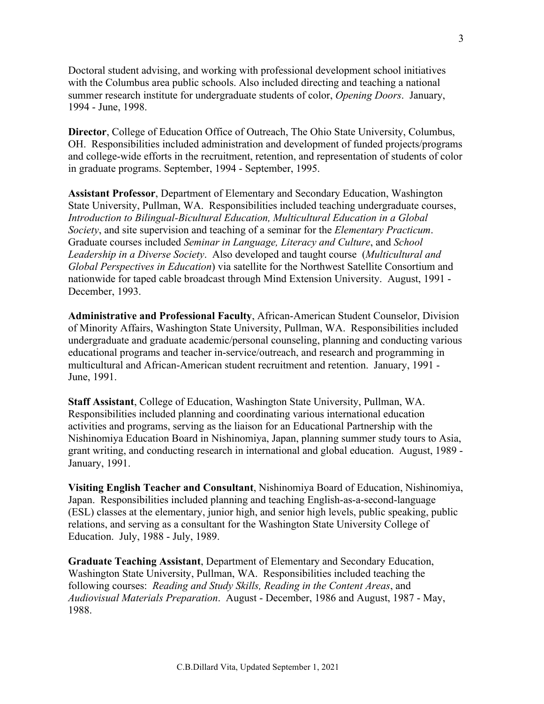Doctoral student advising, and working with professional development school initiatives with the Columbus area public schools. Also included directing and teaching a national summer research institute for undergraduate students of color, *Opening Doors*. January, 1994 - June, 1998.

**Director**, College of Education Office of Outreach, The Ohio State University, Columbus, OH. Responsibilities included administration and development of funded projects/programs and college-wide efforts in the recruitment, retention, and representation of students of color in graduate programs. September, 1994 - September, 1995.

**Assistant Professor**, Department of Elementary and Secondary Education, Washington State University, Pullman, WA. Responsibilities included teaching undergraduate courses, *Introduction to Bilingual-Bicultural Education, Multicultural Education in a Global Society*, and site supervision and teaching of a seminar for the *Elementary Practicum*. Graduate courses included *Seminar in Language, Literacy and Culture*, and *School Leadership in a Diverse Society*. Also developed and taught course (*Multicultural and Global Perspectives in Education*) via satellite for the Northwest Satellite Consortium and nationwide for taped cable broadcast through Mind Extension University. August, 1991 - December, 1993.

**Administrative and Professional Faculty**, African-American Student Counselor, Division of Minority Affairs, Washington State University, Pullman, WA. Responsibilities included undergraduate and graduate academic/personal counseling, planning and conducting various educational programs and teacher in-service/outreach, and research and programming in multicultural and African-American student recruitment and retention. January, 1991 - June, 1991.

**Staff Assistant**, College of Education, Washington State University, Pullman, WA. Responsibilities included planning and coordinating various international education activities and programs, serving as the liaison for an Educational Partnership with the Nishinomiya Education Board in Nishinomiya, Japan, planning summer study tours to Asia, grant writing, and conducting research in international and global education. August, 1989 - January, 1991.

**Visiting English Teacher and Consultant**, Nishinomiya Board of Education, Nishinomiya, Japan. Responsibilities included planning and teaching English-as-a-second-language (ESL) classes at the elementary, junior high, and senior high levels, public speaking, public relations, and serving as a consultant for the Washington State University College of Education. July, 1988 - July, 1989.

**Graduate Teaching Assistant**, Department of Elementary and Secondary Education, Washington State University, Pullman, WA. Responsibilities included teaching the following courses: *Reading and Study Skills, Reading in the Content Areas*, and *Audiovisual Materials Preparation*. August - December, 1986 and August, 1987 - May, 1988.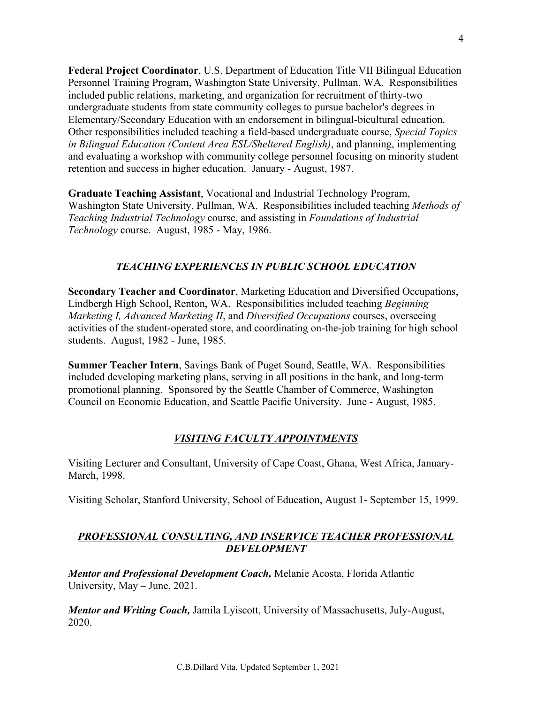**Federal Project Coordinator**, U.S. Department of Education Title VII Bilingual Education Personnel Training Program, Washington State University, Pullman, WA. Responsibilities included public relations, marketing, and organization for recruitment of thirty-two undergraduate students from state community colleges to pursue bachelor's degrees in Elementary/Secondary Education with an endorsement in bilingual-bicultural education. Other responsibilities included teaching a field-based undergraduate course, *Special Topics in Bilingual Education (Content Area ESL/Sheltered English)*, and planning, implementing and evaluating a workshop with community college personnel focusing on minority student retention and success in higher education. January - August, 1987.

**Graduate Teaching Assistant**, Vocational and Industrial Technology Program, Washington State University, Pullman, WA. Responsibilities included teaching *Methods of Teaching Industrial Technology* course, and assisting in *Foundations of Industrial Technology* course. August, 1985 - May, 1986.

# *TEACHING EXPERIENCES IN PUBLIC SCHOOL EDUCATION*

**Secondary Teacher and Coordinator**, Marketing Education and Diversified Occupations, Lindbergh High School, Renton, WA. Responsibilities included teaching *Beginning Marketing I, Advanced Marketing II*, and *Diversified Occupations* courses, overseeing activities of the student-operated store, and coordinating on-the-job training for high school students. August, 1982 - June, 1985.

**Summer Teacher Intern**, Savings Bank of Puget Sound, Seattle, WA. Responsibilities included developing marketing plans, serving in all positions in the bank, and long-term promotional planning. Sponsored by the Seattle Chamber of Commerce, Washington Council on Economic Education, and Seattle Pacific University. June - August, 1985.

## *VISITING FACULTY APPOINTMENTS*

Visiting Lecturer and Consultant, University of Cape Coast, Ghana, West Africa, January-March, 1998.

Visiting Scholar, Stanford University, School of Education, August 1- September 15, 1999.

## *PROFESSIONAL CONSULTING, AND INSERVICE TEACHER PROFESSIONAL DEVELOPMENT*

*Mentor and Professional Development Coach,* Melanie Acosta, Florida Atlantic University, May – June, 2021.

*Mentor and Writing Coach,* Jamila Lyiscott, University of Massachusetts, July-August, 2020.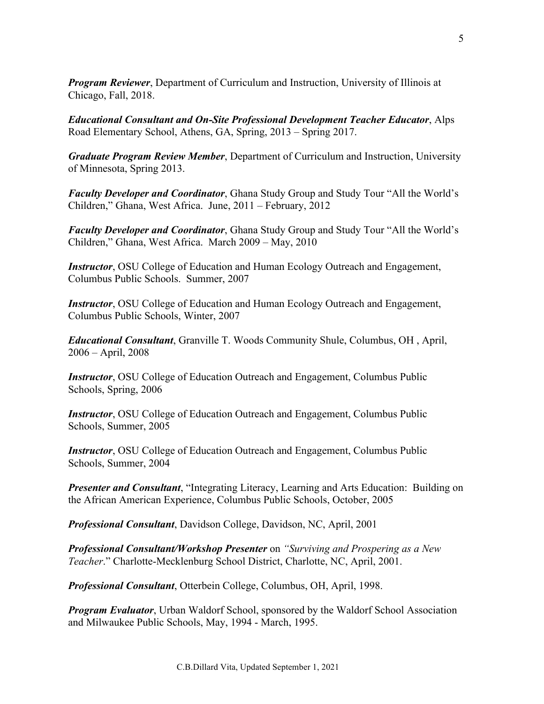*Program Reviewer*, Department of Curriculum and Instruction, University of Illinois at Chicago, Fall, 2018.

*Educational Consultant and On-Site Professional Development Teacher Educator*, Alps Road Elementary School, Athens, GA, Spring, 2013 – Spring 2017.

*Graduate Program Review Member*, Department of Curriculum and Instruction, University of Minnesota, Spring 2013.

*Faculty Developer and Coordinator*, Ghana Study Group and Study Tour "All the World's Children," Ghana, West Africa. June, 2011 – February, 2012

*Faculty Developer and Coordinator*, Ghana Study Group and Study Tour "All the World's Children," Ghana, West Africa. March 2009 – May, 2010

*Instructor*, OSU College of Education and Human Ecology Outreach and Engagement, Columbus Public Schools. Summer, 2007

*Instructor*, OSU College of Education and Human Ecology Outreach and Engagement, Columbus Public Schools, Winter, 2007

*Educational Consultant*, Granville T. Woods Community Shule, Columbus, OH , April, 2006 – April, 2008

*Instructor*, OSU College of Education Outreach and Engagement, Columbus Public Schools, Spring, 2006

*Instructor*, OSU College of Education Outreach and Engagement, Columbus Public Schools, Summer, 2005

*Instructor*, OSU College of Education Outreach and Engagement, Columbus Public Schools, Summer, 2004

*Presenter and Consultant*, "Integrating Literacy, Learning and Arts Education: Building on the African American Experience, Columbus Public Schools, October, 2005

*Professional Consultant*, Davidson College, Davidson, NC, April, 2001

*Professional Consultant/Workshop Presenter* on *"Surviving and Prospering as a New Teacher*." Charlotte-Mecklenburg School District, Charlotte, NC, April, 2001.

*Professional Consultant*, Otterbein College, Columbus, OH, April, 1998.

*Program Evaluator*, Urban Waldorf School, sponsored by the Waldorf School Association and Milwaukee Public Schools, May, 1994 - March, 1995.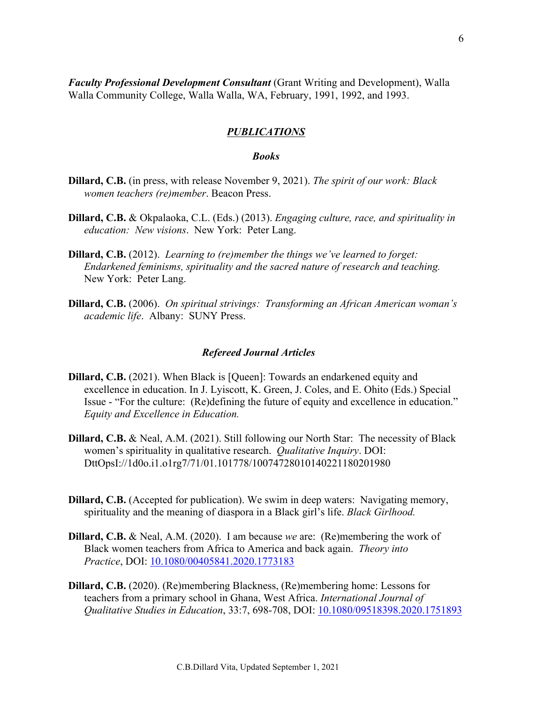*Faculty Professional Development Consultant* (Grant Writing and Development), Walla Walla Community College, Walla Walla, WA, February, 1991, 1992, and 1993.

## *PUBLICATIONS*

### *Books*

- **Dillard, C.B.** (in press, with release November 9, 2021). *The spirit of our work: Black women teachers (re)member*. Beacon Press.
- **Dillard, C.B.** & Okpalaoka, C.L. (Eds.) (2013). *Engaging culture, race, and spirituality in education: New visions*. New York: Peter Lang.
- **Dillard, C.B.** (2012). *Learning to (re)member the things we've learned to forget: Endarkened feminisms, spirituality and the sacred nature of research and teaching.* New York: Peter Lang.
- **Dillard, C.B.** (2006). *On spiritual strivings: Transforming an African American woman's academic life*. Albany: SUNY Press.

#### *Refereed Journal Articles*

- **Dillard, C.B.** (2021). When Black is [Queen]: Towards an endarkened equity and excellence in education. In J. Lyiscott, K. Green, J. Coles, and E. Ohito (Eds.) Special Issue - "For the culture: (Re)defining the future of equity and excellence in education." *Equity and Excellence in Education.*
- **Dillard, C.B.** & Neal, A.M. (2021). Still following our North Star: The necessity of Black women's spirituality in qualitative research. *Qualitative Inquiry*. DOI: DttOpsI://1d0o.i1.o1rg7/71/01.101778/10074728010140221180201980
- **Dillard, C.B.** (Accepted for publication). We swim in deep waters: Navigating memory, spirituality and the meaning of diaspora in a Black girl's life. *Black Girlhood.*
- **Dillard, C.B.** & Neal, A.M. (2020). I am because *we* are: (Re)membering the work of Black women teachers from Africa to America and back again. *Theory into Practice*, DOI: 10.1080/00405841.2020.1773183
- **Dillard, C.B.** (2020). (Re)membering Blackness, (Re)membering home: Lessons for teachers from a primary school in Ghana, West Africa. *International Journal of Qualitative Studies in Education*, 33:7, 698-708, DOI: 10.1080/09518398.2020.1751893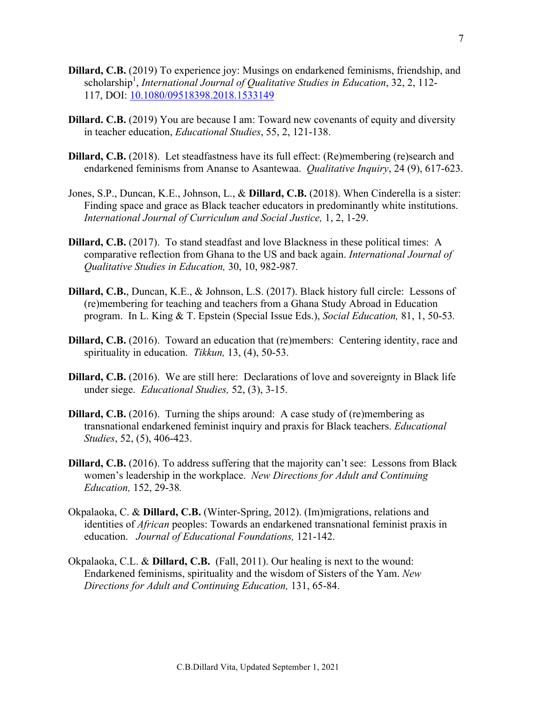- **Dillard, C.B.** (2019) To experience joy: Musings on endarkened feminisms, friendship, and scholarship<sup>1</sup>, *International Journal of Qualitative Studies in Education*, 32, 2, 112-117, DOI: 10.1080/09518398.2018.1533149
- **Dillard. C.B.** (2019) You are because I am: Toward new covenants of equity and diversity in teacher education, *Educational Studies*, 55, 2, 121-138.
- **Dillard, C.B.** (2018). Let steadfastness have its full effect: (Re)membering (re)search and endarkened feminisms from Ananse to Asantewaa. *Qualitative Inquiry*, 24 (9), 617-623.
- Jones, S.P., Duncan, K.E., Johnson, L., & **Dillard, C.B.** (2018). When Cinderella is a sister: Finding space and grace as Black teacher educators in predominantly white institutions. *International Journal of Curriculum and Social Justice,* 1, 2, 1-29.
- **Dillard, C.B.** (2017). To stand steadfast and love Blackness in these political times: A comparative reflection from Ghana to the US and back again. *International Journal of Qualitative Studies in Education,* 30, 10, 982-987*.*
- **Dillard, C.B.**, Duncan, K.E., & Johnson, L.S. (2017). Black history full circle: Lessons of (re)membering for teaching and teachers from a Ghana Study Abroad in Education program. In L. King & T. Epstein (Special Issue Eds.), *Social Education,* 81, 1, 50-53*.*
- **Dillard, C.B.** (2016). Toward an education that (re)members: Centering identity, race and spirituality in education. *Tikkun,* 13, (4), 50-53.
- **Dillard, C.B.** (2016). We are still here: Declarations of love and sovereignty in Black life under siege. *Educational Studies,* 52, (3), 3-15.
- **Dillard, C.B.** (2016). Turning the ships around: A case study of (re)membering as transnational endarkened feminist inquiry and praxis for Black teachers. *Educational Studies*, 52, (5), 406-423.
- **Dillard, C.B.** (2016). To address suffering that the majority can't see: Lessons from Black women's leadership in the workplace. *New Directions for Adult and Continuing Education,* 152, 29-38*.*
- Okpalaoka, C. & **Dillard, C.B.** (Winter-Spring, 2012). (Im)migrations, relations and identities of *African* peoples: Towards an endarkened transnational feminist praxis in education. *Journal of Educational Foundations,* 121-142.
- Okpalaoka, C.L. & **Dillard, C.B.** (Fall, 2011). Our healing is next to the wound: Endarkened feminisms, spirituality and the wisdom of Sisters of the Yam. *New Directions for Adult and Continuing Education,* 131, 65-84.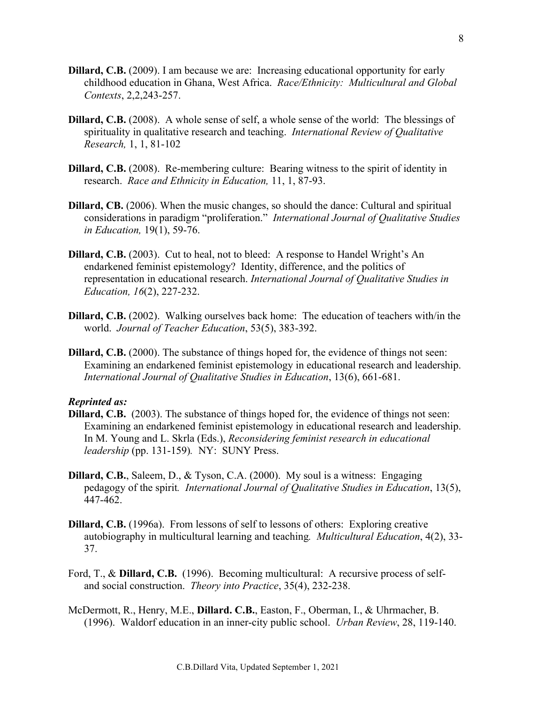- **Dillard, C.B.** (2009). I am because we are: Increasing educational opportunity for early childhood education in Ghana, West Africa. *Race/Ethnicity: Multicultural and Global Contexts*, 2,2,243-257.
- **Dillard, C.B.** (2008). A whole sense of self, a whole sense of the world: The blessings of spirituality in qualitative research and teaching. *International Review of Qualitative Research,* 1, 1, 81-102
- **Dillard, C.B.** (2008). Re-membering culture: Bearing witness to the spirit of identity in research. *Race and Ethnicity in Education,* 11, 1, 87-93.
- **Dillard, CB.** (2006). When the music changes, so should the dance: Cultural and spiritual considerations in paradigm "proliferation." *International Journal of Qualitative Studies in Education,* 19(1), 59-76.
- **Dillard, C.B.** (2003). Cut to heal, not to bleed: A response to Handel Wright's An endarkened feminist epistemology? Identity, difference, and the politics of representation in educational research. *International Journal of Qualitative Studies in Education, 16*(2), 227-232.
- **Dillard, C.B.** (2002). Walking ourselves back home: The education of teachers with/in the world. *Journal of Teacher Education*, 53(5), 383-392.
- **Dillard, C.B.** (2000). The substance of things hoped for, the evidence of things not seen: Examining an endarkened feminist epistemology in educational research and leadership. *International Journal of Qualitative Studies in Education*, 13(6), 661-681.

### *Reprinted as:*

- **Dillard, C.B.** (2003). The substance of things hoped for, the evidence of things not seen: Examining an endarkened feminist epistemology in educational research and leadership. In M. Young and L. Skrla (Eds.), *Reconsidering feminist research in educational leadership* (pp. 131-159)*.* NY: SUNY Press.
- **Dillard, C.B.**, Saleem, D., & Tyson, C.A. (2000). My soul is a witness: Engaging pedagogy of the spirit*. International Journal of Qualitative Studies in Education*, 13(5), 447-462.
- **Dillard, C.B.** (1996a). From lessons of self to lessons of others: Exploring creative autobiography in multicultural learning and teaching*. Multicultural Education*, 4(2), 33- 37.
- Ford, T., & **Dillard, C.B.** (1996). Becoming multicultural: A recursive process of selfand social construction. *Theory into Practice*, 35(4), 232-238.
- McDermott, R., Henry, M.E., **Dillard. C.B.**, Easton, F., Oberman, I., & Uhrmacher, B. (1996). Waldorf education in an inner-city public school. *Urban Review*, 28, 119-140.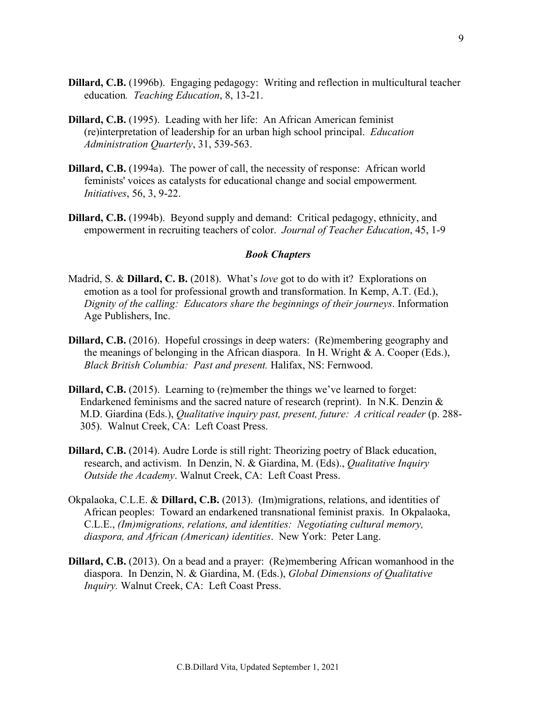- **Dillard, C.B.** (1996b). Engaging pedagogy: Writing and reflection in multicultural teacher education*. Teaching Education*, 8, 13-21.
- **Dillard, C.B.** (1995). Leading with her life: An African American feminist (re)interpretation of leadership for an urban high school principal. *Education Administration Quarterly*, 31, 539-563.
- **Dillard, C.B.** (1994a). The power of call, the necessity of response: African world feminists' voices as catalysts for educational change and social empowerment*. Initiatives*, 56, 3, 9-22.
- **Dillard, C.B.** (1994b). Beyond supply and demand: Critical pedagogy, ethnicity, and empowerment in recruiting teachers of color. *Journal of Teacher Education*, 45, 1-9

### *Book Chapters*

- Madrid, S. & **Dillard, C. B.** (2018). What's *love* got to do with it? Explorations on emotion as a tool for professional growth and transformation. In Kemp, A.T. (Ed.), *Dignity of the calling: Educators share the beginnings of their journeys*. Information Age Publishers, Inc.
- **Dillard, C.B.** (2016). Hopeful crossings in deep waters: (Re)membering geography and the meanings of belonging in the African diaspora. In H. Wright  $\& A$ . Cooper (Eds.), *Black British Columbia: Past and present.* Halifax, NS: Fernwood.
- **Dillard, C.B.** (2015). Learning to (re)member the things we've learned to forget: Endarkened feminisms and the sacred nature of research (reprint). In N.K. Denzin & M.D. Giardina (Eds.), *Qualitative inquiry past, present, future: A critical reader* (p. 288-305). Walnut Creek, CA: Left Coast Press.
- **Dillard, C.B.** (2014). Audre Lorde is still right: Theorizing poetry of Black education, research, and activism. In Denzin, N. & Giardina, M. (Eds)., *Qualitative Inquiry Outside the Academy*. Walnut Creek, CA: Left Coast Press.
- Okpalaoka, C.L.E. & **Dillard, C.B.** (2013). (Im)migrations, relations, and identities of African peoples: Toward an endarkened transnational feminist praxis. In Okpalaoka, C.L.E., *(Im)migrations, relations, and identities: Negotiating cultural memory, diaspora, and African (American) identities*. New York: Peter Lang.
- **Dillard, C.B.** (2013). On a bead and a prayer: (Re)membering African womanhood in the diaspora. In Denzin, N. & Giardina, M. (Eds.), *Global Dimensions of Qualitative Inquiry.* Walnut Creek, CA: Left Coast Press.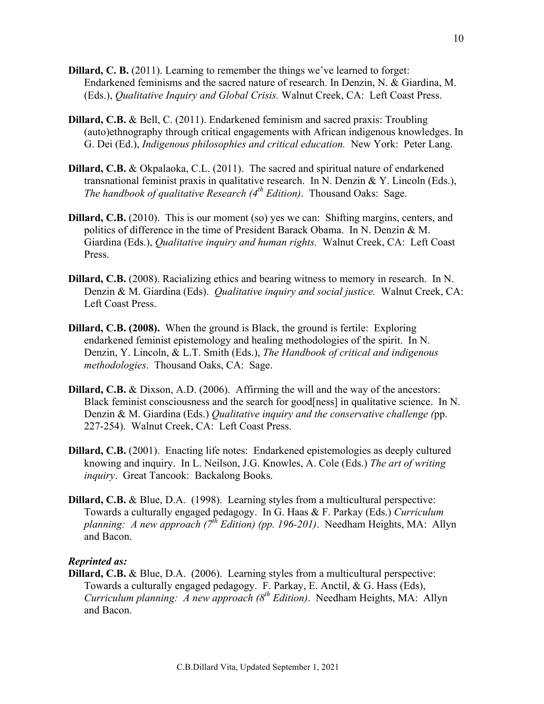- **Dillard, C. B.** (2011). Learning to remember the things we've learned to forget: Endarkened feminisms and the sacred nature of research. In Denzin, N. & Giardina, M. (Eds.), *Qualitative Inquiry and Global Crisis.* Walnut Creek, CA: Left Coast Press.
- **Dillard, C.B.** & Bell, C. (2011). Endarkened feminism and sacred praxis: Troubling (auto)ethnography through critical engagements with African indigenous knowledges. In G. Dei (Ed.), *Indigenous philosophies and critical education.* New York: Peter Lang.
- **Dillard, C.B.** & Okpalaoka, C.L. (2011). The sacred and spiritual nature of endarkened transnational feminist praxis in qualitative research. In N. Denzin & Y. Lincoln (Eds.), *The handbook of qualitative Research (4th Edition)*. Thousand Oaks: Sage.
- **Dillard, C.B.** (2010). This is our moment (so) yes we can: Shifting margins, centers, and politics of difference in the time of President Barack Obama. In N. Denzin & M. Giardina (Eds.), *Qualitative inquiry and human rights.* Walnut Creek, CA: Left Coast Press.
- **Dillard, C.B.** (2008). Racializing ethics and bearing witness to memory in research. In N. Denzin & M. Giardina (Eds). *Qualitative inquiry and social justice.* Walnut Creek, CA: Left Coast Press.
- **Dillard, C.B. (2008).** When the ground is Black, the ground is fertile: Exploring endarkened feminist epistemology and healing methodologies of the spirit. In N. Denzin, Y. Lincoln, & L.T. Smith (Eds.), *The Handbook of critical and indigenous methodologies*. Thousand Oaks, CA: Sage.
- **Dillard, C.B.** & Dixson, A.D. (2006). Affirming the will and the way of the ancestors: Black feminist consciousness and the search for good[ness] in qualitative science. In N. Denzin & M. Giardina (Eds.) *Qualitative inquiry and the conservative challenge (*pp. 227-254). Walnut Creek, CA: Left Coast Press.
- **Dillard, C.B.** (2001). Enacting life notes: Endarkened epistemologies as deeply cultured knowing and inquiry. In L. Neilson, J.G. Knowles, A. Cole (Eds.) *The art of writing inquiry*. Great Tancook: Backalong Books.
- **Dillard, C.B.** & Blue, D.A. (1998). Learning styles from a multicultural perspective: Towards a culturally engaged pedagogy. In G. Haas & F. Parkay (Eds.) *Curriculum planning: A new approach (7th Edition) (pp. 196-201)*. Needham Heights, MA: Allyn and Bacon.

### *Reprinted as:*

**Dillard, C.B.** & Blue, D.A. (2006). Learning styles from a multicultural perspective: Towards a culturally engaged pedagogy. F. Parkay, E. Anctil, & G. Hass (Eds), *Curriculum planning: A new approach (8th Edition)*. Needham Heights, MA: Allyn and Bacon.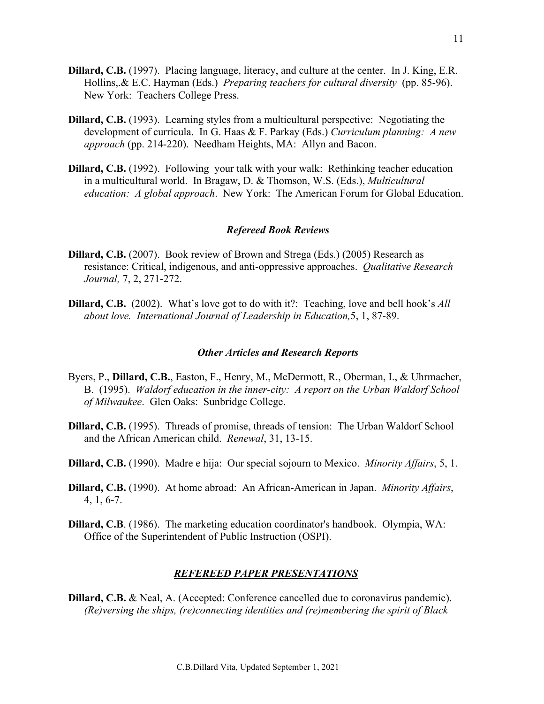- **Dillard, C.B.** (1997). Placing language, literacy, and culture at the center. In J. King, E.R. Hollins,.& E.C. Hayman (Eds.) *Preparing teachers for cultural diversity* (pp. 85-96). New York: Teachers College Press.
- **Dillard, C.B.** (1993). Learning styles from a multicultural perspective: Negotiating the development of curricula. In G. Haas & F. Parkay (Eds.) *Curriculum planning: A new approach* (pp. 214-220). Needham Heights, MA: Allyn and Bacon.
- **Dillard, C.B.** (1992). Following your talk with your walk: Rethinking teacher education in a multicultural world. In Bragaw, D. & Thomson, W.S. (Eds.), *Multicultural education: A global approach*. New York: The American Forum for Global Education.

#### *Refereed Book Reviews*

- **Dillard, C.B.** (2007). Book review of Brown and Strega (Eds.) (2005) Research as resistance: Critical, indigenous, and anti-oppressive approaches. *Qualitative Research Journal,* 7, 2, 271-272.
- **Dillard, C.B.** (2002). What's love got to do with it?: Teaching, love and bell hook's *All about love. International Journal of Leadership in Education,*5, 1, 87-89.

#### *Other Articles and Research Reports*

- Byers, P., **Dillard, C.B.**, Easton, F., Henry, M., McDermott, R., Oberman, I., & Uhrmacher, B. (1995). *Waldorf education in the inner-city: A report on the Urban Waldorf School of Milwaukee*. Glen Oaks: Sunbridge College.
- **Dillard, C.B.** (1995). Threads of promise, threads of tension: The Urban Waldorf School and the African American child. *Renewal*, 31, 13-15.
- **Dillard, C.B.** (1990). Madre e hija: Our special sojourn to Mexico. *Minority Affairs*, 5, 1.
- **Dillard, C.B.** (1990). At home abroad: An African-American in Japan. *Minority Affairs*, 4, 1, 6-7.
- **Dillard, C.B**. (1986). The marketing education coordinator's handbook. Olympia, WA: Office of the Superintendent of Public Instruction (OSPI).

### *REFEREED PAPER PRESENTATIONS*

**Dillard, C.B.** & Neal, A. (Accepted: Conference cancelled due to coronavirus pandemic). *(Re)versing the ships, (re)connecting identities and (re)membering the spirit of Black*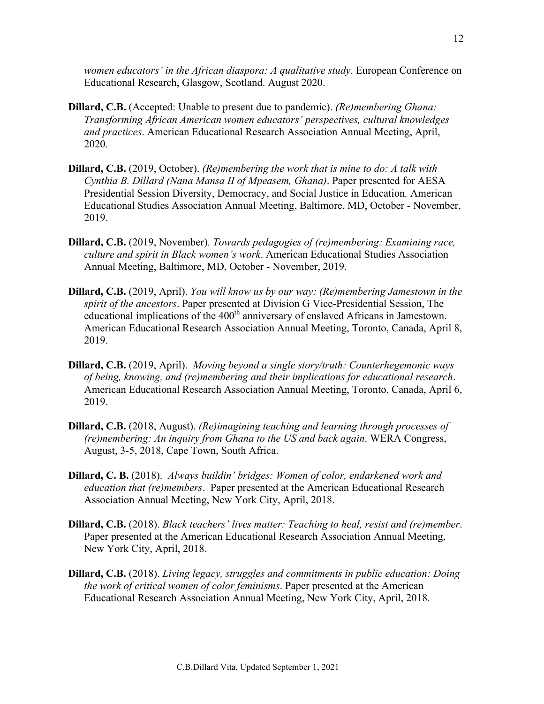*women educators' in the African diaspora: A qualitative study*. European Conference on Educational Research, Glasgow, Scotland. August 2020.

- **Dillard, C.B.** (Accepted: Unable to present due to pandemic). *(Re)membering Ghana: Transforming African American women educators' perspectives, cultural knowledges and practices*. American Educational Research Association Annual Meeting, April, 2020.
- **Dillard, C.B.** (2019, October). *(Re)membering the work that is mine to do: A talk with Cynthia B. Dillard (Nana Mansa II of Mpeasem, Ghana)*. Paper presented for AESA Presidential Session Diversity, Democracy, and Social Justice in Education*.* American Educational Studies Association Annual Meeting, Baltimore, MD, October - November, 2019.
- **Dillard, C.B.** (2019, November). *Towards pedagogies of (re)membering: Examining race, culture and spirit in Black women's work*. American Educational Studies Association Annual Meeting, Baltimore, MD, October - November, 2019.
- **Dillard, C.B.** (2019, April). *You will know us by our way: (Re)membering Jamestown in the spirit of the ancestors*. Paper presented at Division G Vice-Presidential Session, The educational implications of the 400<sup>th</sup> anniversary of enslaved Africans in Jamestown. American Educational Research Association Annual Meeting, Toronto, Canada, April 8, 2019.
- **Dillard, C.B.** (2019, April). *Moving beyond a single story/truth: Counterhegemonic ways of being, knowing, and (re)membering and their implications for educational research*. American Educational Research Association Annual Meeting, Toronto, Canada, April 6, 2019.
- **Dillard, C.B.** (2018, August). *(Re)imagining teaching and learning through processes of (re)membering: An inquiry from Ghana to the US and back again*. WERA Congress, August, 3-5, 2018, Cape Town, South Africa.
- **Dillard, C. B.** (2018). *Always buildin' bridges: Women of color, endarkened work and education that (re)members*. Paper presented at the American Educational Research Association Annual Meeting, New York City, April, 2018.
- **Dillard, C.B.** (2018). *Black teachers' lives matter: Teaching to heal, resist and (re)member*. Paper presented at the American Educational Research Association Annual Meeting, New York City, April, 2018.
- **Dillard, C.B.** (2018). *Living legacy, struggles and commitments in public education: Doing the work of critical women of color feminisms*. Paper presented at the American Educational Research Association Annual Meeting, New York City, April, 2018.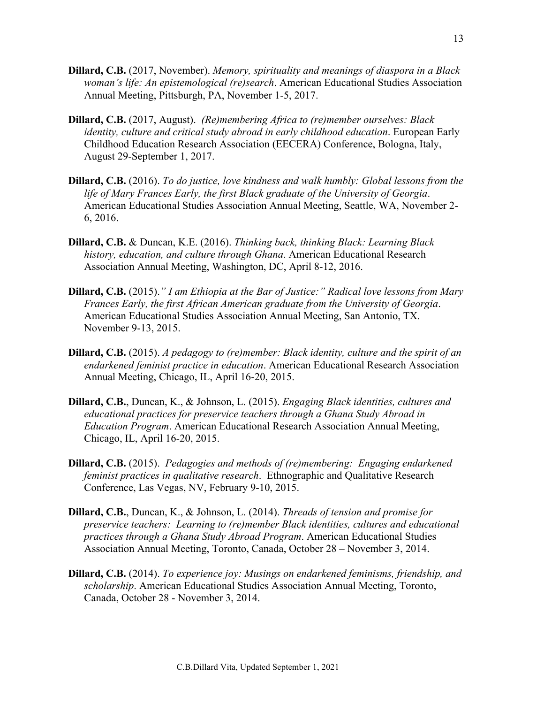- **Dillard, C.B.** (2017, November). *Memory, spirituality and meanings of diaspora in a Black woman's life: An epistemological (re)search*. American Educational Studies Association Annual Meeting, Pittsburgh, PA, November 1-5, 2017.
- **Dillard, C.B.** (2017, August). *(Re)membering Africa to (re)member ourselves: Black identity, culture and critical study abroad in early childhood education*. European Early Childhood Education Research Association (EECERA) Conference, Bologna, Italy, August 29-September 1, 2017.
- **Dillard, C.B.** (2016). *To do justice, love kindness and walk humbly: Global lessons from the life of Mary Frances Early, the first Black graduate of the University of Georgia*. American Educational Studies Association Annual Meeting, Seattle, WA, November 2- 6, 2016.
- **Dillard, C.B.** & Duncan, K.E. (2016). *Thinking back, thinking Black: Learning Black history, education, and culture through Ghana*. American Educational Research Association Annual Meeting, Washington, DC, April 8-12, 2016.
- **Dillard, C.B.** (2015).*" I am Ethiopia at the Bar of Justice:" Radical love lessons from Mary Frances Early, the first African American graduate from the University of Georgia*. American Educational Studies Association Annual Meeting, San Antonio, TX. November 9-13, 2015.
- **Dillard, C.B.** (2015). *A pedagogy to (re)member: Black identity, culture and the spirit of an endarkened feminist practice in education*. American Educational Research Association Annual Meeting, Chicago, IL, April 16-20, 2015.
- **Dillard, C.B.**, Duncan, K., & Johnson, L. (2015). *Engaging Black identities, cultures and educational practices for preservice teachers through a Ghana Study Abroad in Education Program*. American Educational Research Association Annual Meeting, Chicago, IL, April 16-20, 2015.
- **Dillard, C.B.** (2015). *Pedagogies and methods of (re)membering: Engaging endarkened feminist practices in qualitative research*. Ethnographic and Qualitative Research Conference, Las Vegas, NV, February 9-10, 2015.
- **Dillard, C.B.**, Duncan, K., & Johnson, L. (2014). *Threads of tension and promise for preservice teachers: Learning to (re)member Black identities, cultures and educational practices through a Ghana Study Abroad Program*. American Educational Studies Association Annual Meeting, Toronto, Canada, October 28 – November 3, 2014.
- **Dillard, C.B.** (2014). *To experience joy: Musings on endarkened feminisms, friendship, and scholarship*. American Educational Studies Association Annual Meeting, Toronto, Canada, October 28 - November 3, 2014.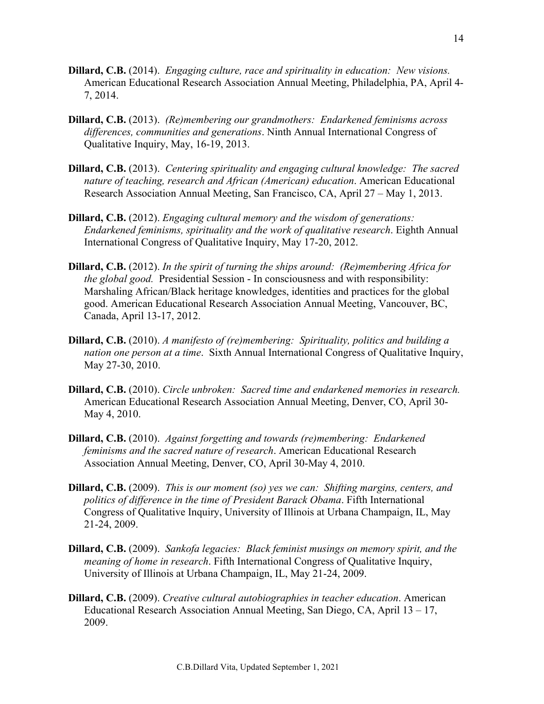- **Dillard, C.B.** (2014). *Engaging culture, race and spirituality in education: New visions.* American Educational Research Association Annual Meeting, Philadelphia, PA, April 4- 7, 2014.
- **Dillard, C.B.** (2013). *(Re)membering our grandmothers: Endarkened feminisms across differences, communities and generations*. Ninth Annual International Congress of Qualitative Inquiry, May, 16-19, 2013.
- **Dillard, C.B.** (2013). *Centering spirituality and engaging cultural knowledge: The sacred nature of teaching, research and African (American) education*. American Educational Research Association Annual Meeting, San Francisco, CA, April 27 – May 1, 2013.
- **Dillard, C.B.** (2012). *Engaging cultural memory and the wisdom of generations: Endarkened feminisms, spirituality and the work of qualitative research*. Eighth Annual International Congress of Qualitative Inquiry, May 17-20, 2012.
- **Dillard, C.B.** (2012). *In the spirit of turning the ships around: (Re)membering Africa for the global good.* Presidential Session - In consciousness and with responsibility: Marshaling African/Black heritage knowledges, identities and practices for the global good. American Educational Research Association Annual Meeting, Vancouver, BC, Canada, April 13-17, 2012.
- **Dillard, C.B.** (2010). *A manifesto of (re)membering: Spirituality, politics and building a nation one person at a time*. Sixth Annual International Congress of Qualitative Inquiry, May 27-30, 2010.
- **Dillard, C.B.** (2010). *Circle unbroken: Sacred time and endarkened memories in research.* American Educational Research Association Annual Meeting, Denver, CO, April 30- May 4, 2010.
- **Dillard, C.B.** (2010). *Against forgetting and towards (re)membering: Endarkened feminisms and the sacred nature of research*. American Educational Research Association Annual Meeting, Denver, CO, April 30-May 4, 2010.
- **Dillard, C.B.** (2009). *This is our moment (so) yes we can: Shifting margins, centers, and politics of difference in the time of President Barack Obama*. Fifth International Congress of Qualitative Inquiry, University of Illinois at Urbana Champaign, IL, May 21-24, 2009.
- **Dillard, C.B.** (2009). *Sankofa legacies: Black feminist musings on memory spirit, and the meaning of home in research*. Fifth International Congress of Qualitative Inquiry, University of Illinois at Urbana Champaign, IL, May 21-24, 2009.
- **Dillard, C.B.** (2009). *Creative cultural autobiographies in teacher education*. American Educational Research Association Annual Meeting, San Diego, CA, April 13 – 17, 2009.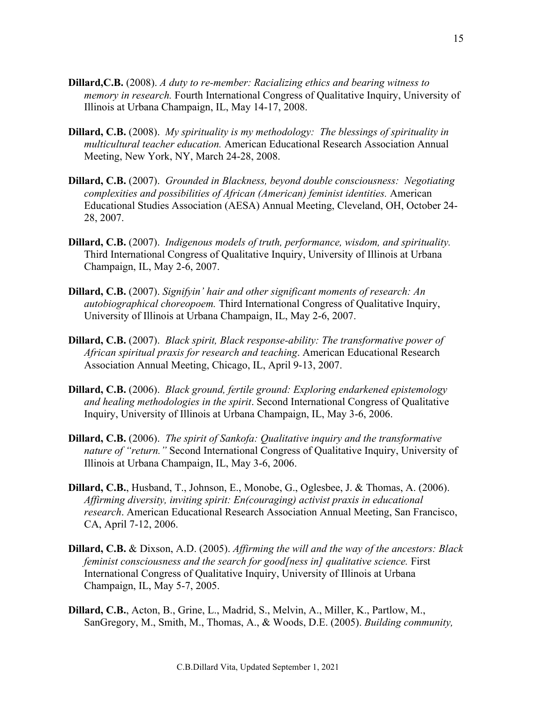- **Dillard,C.B.** (2008). *A duty to re-member: Racializing ethics and bearing witness to memory in research.* Fourth International Congress of Qualitative Inquiry, University of Illinois at Urbana Champaign, IL, May 14-17, 2008.
- **Dillard, C.B.** (2008). *My spirituality is my methodology: The blessings of spirituality in multicultural teacher education.* American Educational Research Association Annual Meeting, New York, NY, March 24-28, 2008.
- **Dillard, C.B.** (2007). *Grounded in Blackness, beyond double consciousness: Negotiating complexities and possibilities of African (American) feminist identities.* American Educational Studies Association (AESA) Annual Meeting, Cleveland, OH, October 24- 28, 2007.
- **Dillard, C.B.** (2007). *Indigenous models of truth, performance, wisdom, and spirituality.* Third International Congress of Qualitative Inquiry, University of Illinois at Urbana Champaign, IL, May 2-6, 2007.
- **Dillard, C.B.** (2007). *Signifyin' hair and other significant moments of research: An autobiographical choreopoem.* Third International Congress of Qualitative Inquiry, University of Illinois at Urbana Champaign, IL, May 2-6, 2007.
- **Dillard, C.B.** (2007). *Black spirit, Black response-ability: The transformative power of African spiritual praxis for research and teaching*. American Educational Research Association Annual Meeting, Chicago, IL, April 9-13, 2007.
- **Dillard, C.B.** (2006). *Black ground, fertile ground: Exploring endarkened epistemology and healing methodologies in the spirit*. Second International Congress of Qualitative Inquiry, University of Illinois at Urbana Champaign, IL, May 3-6, 2006.
- **Dillard, C.B.** (2006). *The spirit of Sankofa: Qualitative inquiry and the transformative nature of "return."* Second International Congress of Qualitative Inquiry, University of Illinois at Urbana Champaign, IL, May 3-6, 2006.
- **Dillard, C.B.**, Husband, T., Johnson, E., Monobe, G., Oglesbee, J. & Thomas, A. (2006). *Affirming diversity, inviting spirit: En(couraging) activist praxis in educational research*. American Educational Research Association Annual Meeting, San Francisco, CA, April 7-12, 2006.
- **Dillard, C.B.** & Dixson, A.D. (2005). *Affirming the will and the way of the ancestors: Black feminist consciousness and the search for good[ness in] qualitative science.* First International Congress of Qualitative Inquiry, University of Illinois at Urbana Champaign, IL, May 5-7, 2005.
- **Dillard, C.B.**, Acton, B., Grine, L., Madrid, S., Melvin, A., Miller, K., Partlow, M., SanGregory, M., Smith, M., Thomas, A., & Woods, D.E. (2005). *Building community,*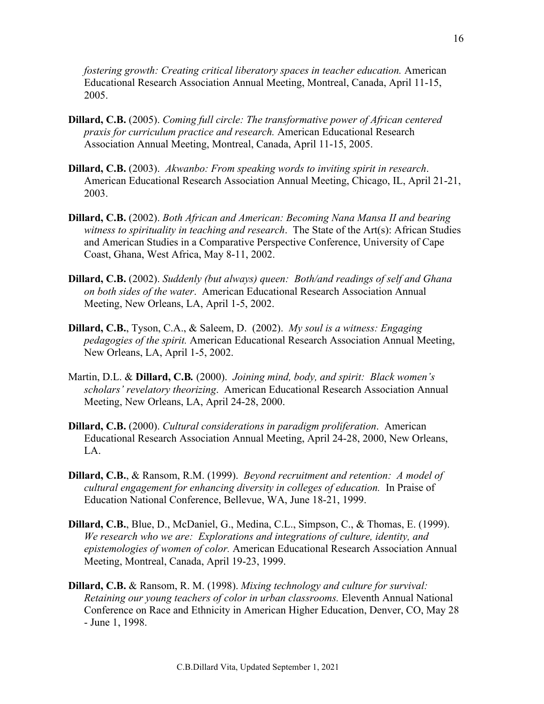*fostering growth: Creating critical liberatory spaces in teacher education. American* Educational Research Association Annual Meeting, Montreal, Canada, April 11-15, 2005.

- **Dillard, C.B.** (2005). *Coming full circle: The transformative power of African centered praxis for curriculum practice and research.* American Educational Research Association Annual Meeting, Montreal, Canada, April 11-15, 2005.
- **Dillard, C.B.** (2003). *Akwanbo: From speaking words to inviting spirit in research*. American Educational Research Association Annual Meeting, Chicago, IL, April 21-21, 2003.
- **Dillard, C.B.** (2002). *Both African and American: Becoming Nana Mansa II and bearing witness to spirituality in teaching and research*. The State of the Art(s): African Studies and American Studies in a Comparative Perspective Conference, University of Cape Coast, Ghana, West Africa, May 8-11, 2002.
- **Dillard, C.B.** (2002). *Suddenly (but always) queen: Both/and readings of self and Ghana on both sides of the water*. American Educational Research Association Annual Meeting, New Orleans, LA, April 1-5, 2002.
- **Dillard, C.B.**, Tyson, C.A., & Saleem, D. (2002). *My soul is a witness: Engaging pedagogies of the spirit.* American Educational Research Association Annual Meeting, New Orleans, LA, April 1-5, 2002.
- Martin, D.L. & **Dillard, C.B***.* (2000). *Joining mind, body, and spirit: Black women's scholars' revelatory theorizing*. American Educational Research Association Annual Meeting, New Orleans, LA, April 24-28, 2000.
- **Dillard, C.B.** (2000). *Cultural considerations in paradigm proliferation*. American Educational Research Association Annual Meeting, April 24-28, 2000, New Orleans, LA.
- **Dillard, C.B.**, & Ransom, R.M. (1999). *Beyond recruitment and retention: A model of cultural engagement for enhancing diversity in colleges of education.* In Praise of Education National Conference, Bellevue, WA, June 18-21, 1999.
- **Dillard, C.B.**, Blue, D., McDaniel, G., Medina, C.L., Simpson, C., & Thomas, E. (1999). *We research who we are: Explorations and integrations of culture, identity, and epistemologies of women of color.* American Educational Research Association Annual Meeting, Montreal, Canada, April 19-23, 1999.
- **Dillard, C.B.** & Ransom, R. M. (1998). *Mixing technology and culture for survival: Retaining our young teachers of color in urban classrooms.* Eleventh Annual National Conference on Race and Ethnicity in American Higher Education, Denver, CO, May 28 - June 1, 1998.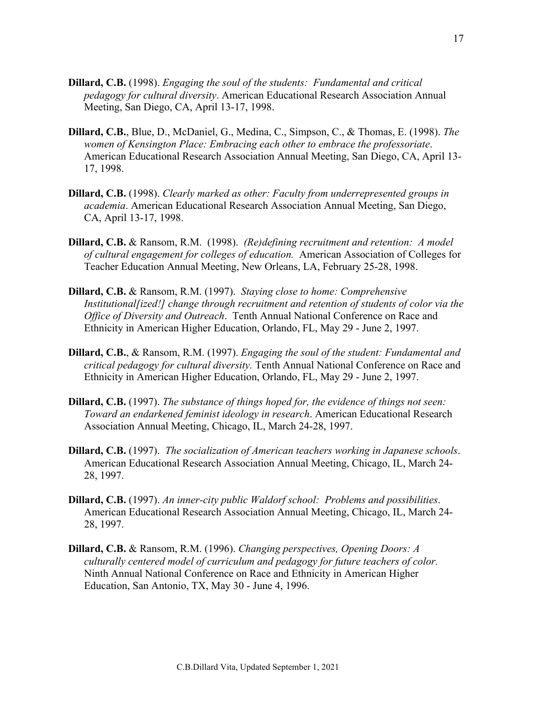- **Dillard, C.B.** (1998). *Engaging the soul of the students: Fundamental and critical pedagogy for cultural diversity*. American Educational Research Association Annual Meeting, San Diego, CA, April 13-17, 1998.
- **Dillard, C.B.**, Blue, D., McDaniel, G., Medina, C., Simpson, C., & Thomas, E. (1998). *The women of Kensington Place: Embracing each other to embrace the professoriate*. American Educational Research Association Annual Meeting, San Diego, CA, April 13- 17, 1998.
- **Dillard, C.B.** (1998). *Clearly marked as other: Faculty from underrepresented groups in academia*. American Educational Research Association Annual Meeting, San Diego, CA, April 13-17, 1998.
- **Dillard, C.B.** & Ransom, R.M. (1998). *(Re)defining recruitment and retention: A model of cultural engagement for colleges of education.* American Association of Colleges for Teacher Education Annual Meeting, New Orleans, LA, February 25-28, 1998.
- **Dillard, C.B.** & Ransom, R.M. (1997). *Staying close to home: Comprehensive Institutional[ized!] change through recruitment and retention of students of color via the Office of Diversity and Outreach*. Tenth Annual National Conference on Race and Ethnicity in American Higher Education, Orlando, FL, May 29 - June 2, 1997.
- **Dillard, C.B.**, & Ransom, R.M. (1997). *Engaging the soul of the student: Fundamental and critical pedagogy for cultural diversity.* Tenth Annual National Conference on Race and Ethnicity in American Higher Education, Orlando, FL, May 29 - June 2, 1997.
- **Dillard, C.B.** (1997). *The substance of things hoped for, the evidence of things not seen: Toward an endarkened feminist ideology in research*. American Educational Research Association Annual Meeting, Chicago, IL, March 24-28, 1997.
- **Dillard, C.B.** (1997). *The socialization of American teachers working in Japanese schools*. American Educational Research Association Annual Meeting, Chicago, IL, March 24- 28, 1997.
- **Dillard, C.B.** (1997). *An inner-city public Waldorf school: Problems and possibilities*. American Educational Research Association Annual Meeting, Chicago, IL, March 24- 28, 1997.
- **Dillard, C.B.** & Ransom, R.M. (1996). *Changing perspectives, Opening Doors: A culturally centered model of curriculum and pedagogy for future teachers of color.* Ninth Annual National Conference on Race and Ethnicity in American Higher Education, San Antonio, TX, May 30 - June 4, 1996.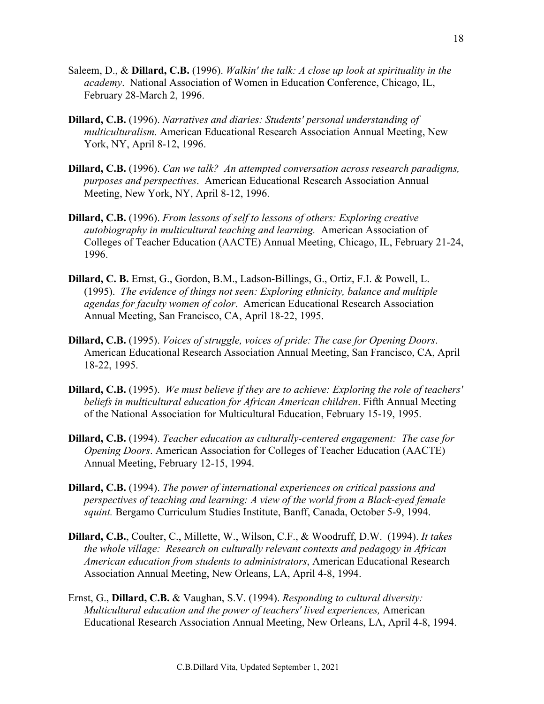- Saleem, D., & **Dillard, C.B.** (1996). *Walkin' the talk: A close up look at spirituality in the academy*. National Association of Women in Education Conference, Chicago, IL, February 28-March 2, 1996.
- **Dillard, C.B.** (1996). *Narratives and diaries: Students' personal understanding of multiculturalism.* American Educational Research Association Annual Meeting, New York, NY, April 8-12, 1996.
- **Dillard, C.B.** (1996). *Can we talk? An attempted conversation across research paradigms, purposes and perspectives*. American Educational Research Association Annual Meeting, New York, NY, April 8-12, 1996.
- **Dillard, C.B.** (1996). *From lessons of self to lessons of others: Exploring creative autobiography in multicultural teaching and learning.* American Association of Colleges of Teacher Education (AACTE) Annual Meeting, Chicago, IL, February 21-24, 1996.
- **Dillard, C. B.** Ernst, G., Gordon, B.M., Ladson-Billings, G., Ortiz, F.I. & Powell, L. (1995). *The evidence of things not seen: Exploring ethnicity, balance and multiple agendas for faculty women of color*. American Educational Research Association Annual Meeting, San Francisco, CA, April 18-22, 1995.
- **Dillard, C.B.** (1995). *Voices of struggle, voices of pride: The case for Opening Doors*. American Educational Research Association Annual Meeting, San Francisco, CA, April 18-22, 1995.
- **Dillard, C.B.** (1995). *We must believe if they are to achieve: Exploring the role of teachers' beliefs in multicultural education for African American children*. Fifth Annual Meeting of the National Association for Multicultural Education, February 15-19, 1995.
- **Dillard, C.B.** (1994). *Teacher education as culturally-centered engagement: The case for Opening Doors*. American Association for Colleges of Teacher Education (AACTE) Annual Meeting, February 12-15, 1994.
- **Dillard, C.B.** (1994). *The power of international experiences on critical passions and perspectives of teaching and learning: A view of the world from a Black-eyed female squint.* Bergamo Curriculum Studies Institute, Banff, Canada, October 5-9, 1994.
- **Dillard, C.B.**, Coulter, C., Millette, W., Wilson, C.F., & Woodruff, D.W. (1994). *It takes the whole village: Research on culturally relevant contexts and pedagogy in African American education from students to administrators*, American Educational Research Association Annual Meeting, New Orleans, LA, April 4-8, 1994.
- Ernst, G., **Dillard, C.B.** & Vaughan, S.V. (1994). *Responding to cultural diversity: Multicultural education and the power of teachers' lived experiences,* American Educational Research Association Annual Meeting, New Orleans, LA, April 4-8, 1994.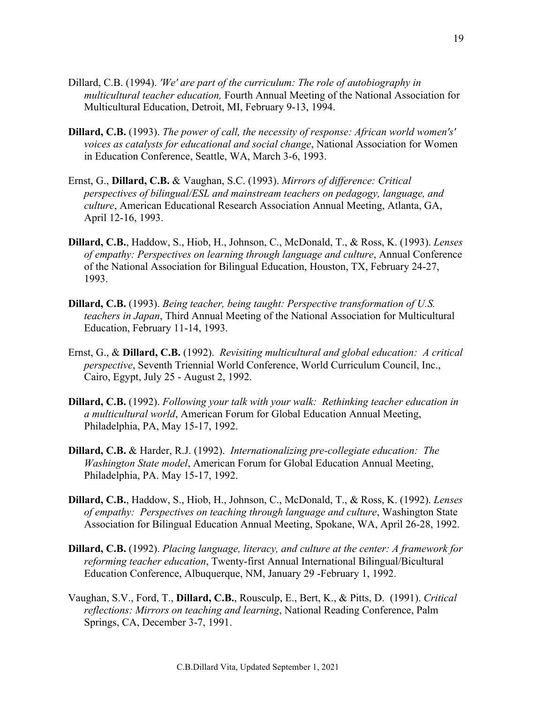- Dillard, C.B. (1994). *'We' are part of the curriculum: The role of autobiography in multicultural teacher education,* Fourth Annual Meeting of the National Association for Multicultural Education, Detroit, MI, February 9-13, 1994.
- **Dillard, C.B.** (1993). *The power of call, the necessity of response: African world women's' voices as catalysts for educational and social change*, National Association for Women in Education Conference, Seattle, WA, March 3-6, 1993.
- Ernst, G., **Dillard, C.B.** & Vaughan, S.C. (1993). *Mirrors of difference: Critical perspectives of bilingual/ESL and mainstream teachers on pedagogy, language, and culture*, American Educational Research Association Annual Meeting, Atlanta, GA, April 12-16, 1993.
- **Dillard, C.B.**, Haddow, S., Hiob, H., Johnson, C., McDonald, T., & Ross, K. (1993). *Lenses of empathy: Perspectives on learning through language and culture*, Annual Conference of the National Association for Bilingual Education, Houston, TX, February 24-27, 1993.
- **Dillard, C.B.** (1993). *Being teacher, being taught: Perspective transformation of U.S. teachers in Japan*, Third Annual Meeting of the National Association for Multicultural Education, February 11-14, 1993.
- Ernst, G., & **Dillard, C.B.** (1992). *Revisiting multicultural and global education: A critical perspective*, Seventh Triennial World Conference, World Curriculum Council, Inc., Cairo, Egypt, July 25 - August 2, 1992.
- **Dillard, C.B.** (1992). *Following your talk with your walk: Rethinking teacher education in a multicultural world*, American Forum for Global Education Annual Meeting, Philadelphia, PA, May 15-17, 1992.
- **Dillard, C.B.** & Harder, R.J. (1992). *Internationalizing pre-collegiate education: The Washington State model*, American Forum for Global Education Annual Meeting, Philadelphia, PA. May 15-17, 1992.
- **Dillard, C.B.**, Haddow, S., Hiob, H., Johnson, C., McDonald, T., & Ross, K. (1992). *Lenses of empathy: Perspectives on teaching through language and culture*, Washington State Association for Bilingual Education Annual Meeting, Spokane, WA, April 26-28, 1992.
- **Dillard, C.B.** (1992). *Placing language, literacy, and culture at the center: A framework for reforming teacher education*, Twenty-first Annual International Bilingual/Bicultural Education Conference, Albuquerque, NM, January 29 -February 1, 1992.
- Vaughan, S.V., Ford, T., **Dillard, C.B.**, Rousculp, E., Bert, K., & Pitts, D. (1991). *Critical reflections: Mirrors on teaching and learning*, National Reading Conference, Palm Springs, CA, December 3-7, 1991.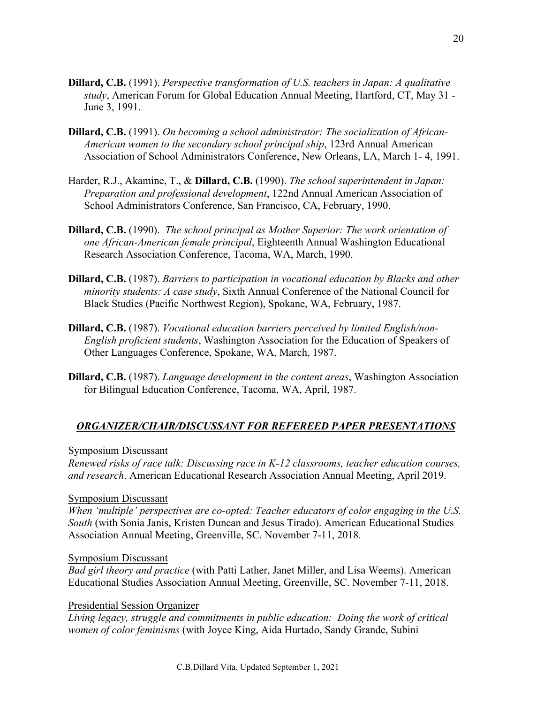- **Dillard, C.B.** (1991). *Perspective transformation of U.S. teachers in Japan: A qualitative study*, American Forum for Global Education Annual Meeting, Hartford, CT, May 31 - June 3, 1991.
- **Dillard, C.B.** (1991). *On becoming a school administrator: The socialization of African-American women to the secondary school principal ship*, 123rd Annual American Association of School Administrators Conference, New Orleans, LA, March 1- 4, 1991.
- Harder, R.J., Akamine, T., & **Dillard, C.B.** (1990). *The school superintendent in Japan: Preparation and professional development*, 122nd Annual American Association of School Administrators Conference, San Francisco, CA, February, 1990.
- **Dillard, C.B.** (1990). *The school principal as Mother Superior: The work orientation of one African-American female principal*, Eighteenth Annual Washington Educational Research Association Conference, Tacoma, WA, March, 1990.
- **Dillard, C.B.** (1987). *Barriers to participation in vocational education by Blacks and other minority students: A case study*, Sixth Annual Conference of the National Council for Black Studies (Pacific Northwest Region), Spokane, WA, February, 1987.
- **Dillard, C.B.** (1987). *Vocational education barriers perceived by limited English/non-English proficient students*, Washington Association for the Education of Speakers of Other Languages Conference, Spokane, WA, March, 1987.
- **Dillard, C.B.** (1987). *Language development in the content areas*, Washington Association for Bilingual Education Conference, Tacoma, WA, April, 1987.

## *ORGANIZER/CHAIR/DISCUSSANT FOR REFEREED PAPER PRESENTATIONS*

Symposium Discussant

*Renewed risks of race talk: Discussing race in K-12 classrooms, teacher education courses, and research*. American Educational Research Association Annual Meeting, April 2019.

## Symposium Discussant

*When 'multiple' perspectives are co-opted: Teacher educators of color engaging in the U.S. South* (with Sonia Janis, Kristen Duncan and Jesus Tirado). American Educational Studies Association Annual Meeting, Greenville, SC. November 7-11, 2018.

## Symposium Discussant

*Bad girl theory and practice* (with Patti Lather, Janet Miller, and Lisa Weems). American Educational Studies Association Annual Meeting, Greenville, SC. November 7-11, 2018.

## Presidential Session Organizer

*Living legacy, struggle and commitments in public education: Doing the work of critical women of color feminisms* (with Joyce King, Aida Hurtado, Sandy Grande, Subini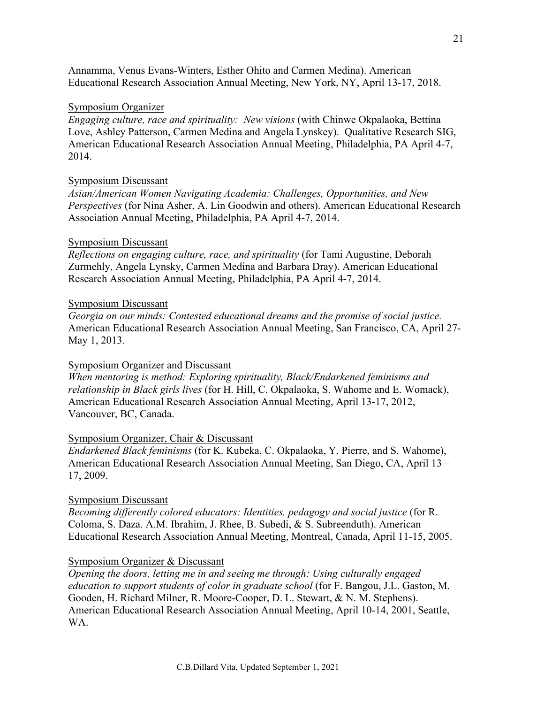Annamma, Venus Evans-Winters, Esther Ohito and Carmen Medina). American Educational Research Association Annual Meeting, New York, NY, April 13-17, 2018.

#### Symposium Organizer

*Engaging culture, race and spirituality: New visions* (with Chinwe Okpalaoka, Bettina Love, Ashley Patterson, Carmen Medina and Angela Lynskey). Qualitative Research SIG, American Educational Research Association Annual Meeting, Philadelphia, PA April 4-7, 2014.

### Symposium Discussant

*Asian/American Women Navigating Academia: Challenges, Opportunities, and New Perspectives* (for Nina Asher, A. Lin Goodwin and others). American Educational Research Association Annual Meeting, Philadelphia, PA April 4-7, 2014.

#### Symposium Discussant

*Reflections on engaging culture, race, and spirituality* (for Tami Augustine, Deborah Zurmehly, Angela Lynsky, Carmen Medina and Barbara Dray). American Educational Research Association Annual Meeting, Philadelphia, PA April 4-7, 2014.

#### Symposium Discussant

*Georgia on our minds: Contested educational dreams and the promise of social justice.* American Educational Research Association Annual Meeting, San Francisco, CA, April 27- May 1, 2013.

#### Symposium Organizer and Discussant

*When mentoring is method: Exploring spirituality, Black/Endarkened feminisms and relationship in Black girls lives* (for H. Hill, C. Okpalaoka, S. Wahome and E. Womack), American Educational Research Association Annual Meeting, April 13-17, 2012, Vancouver, BC, Canada.

#### Symposium Organizer, Chair & Discussant

*Endarkened Black feminisms* (for K. Kubeka, C. Okpalaoka, Y. Pierre, and S. Wahome), American Educational Research Association Annual Meeting, San Diego, CA, April 13 – 17, 2009.

#### Symposium Discussant

*Becoming differently colored educators: Identities, pedagogy and social justice* (for R. Coloma, S. Daza. A.M. Ibrahim, J. Rhee, B. Subedi, & S. Subreenduth). American Educational Research Association Annual Meeting, Montreal, Canada, April 11-15, 2005.

### Symposium Organizer & Discussant

*Opening the doors, letting me in and seeing me through: Using culturally engaged education to support students of color in graduate school* (for F. Bangou, J.L. Gaston, M. Gooden, H. Richard Milner, R. Moore-Cooper, D. L. Stewart, & N. M. Stephens). American Educational Research Association Annual Meeting, April 10-14, 2001, Seattle, WA.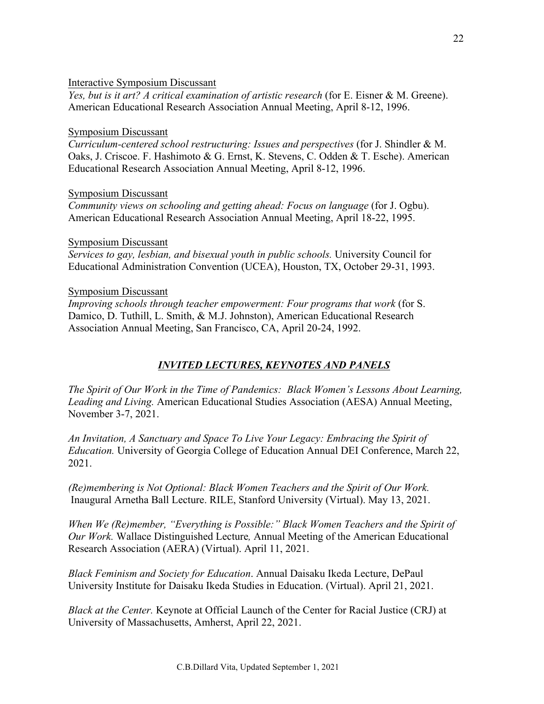## Interactive Symposium Discussant

*Yes, but is it art? A critical examination of artistic research* (for E. Eisner & M. Greene). American Educational Research Association Annual Meeting, April 8-12, 1996.

### Symposium Discussant

*Curriculum-centered school restructuring: Issues and perspectives* (for J. Shindler & M. Oaks, J. Criscoe. F. Hashimoto & G. Ernst, K. Stevens, C. Odden & T. Esche). American Educational Research Association Annual Meeting, April 8-12, 1996.

### Symposium Discussant

*Community views on schooling and getting ahead: Focus on language* (for J. Ogbu). American Educational Research Association Annual Meeting, April 18-22, 1995.

### Symposium Discussant

*Services to gay, lesbian, and bisexual youth in public schools.* University Council for Educational Administration Convention (UCEA), Houston, TX, October 29-31, 1993.

### Symposium Discussant

*Improving schools through teacher empowerment: Four programs that work* (for S. Damico, D. Tuthill, L. Smith, & M.J. Johnston), American Educational Research Association Annual Meeting, San Francisco, CA, April 20-24, 1992.

## *INVITED LECTURES, KEYNOTES AND PANELS*

*The Spirit of Our Work in the Time of Pandemics: Black Women's Lessons About Learning, Leading and Living.* American Educational Studies Association (AESA) Annual Meeting, November 3-7, 2021.

*An Invitation, A Sanctuary and Space To Live Your Legacy: Embracing the Spirit of Education.* University of Georgia College of Education Annual DEI Conference, March 22, 2021.

*(Re)membering is Not Optional: Black Women Teachers and the Spirit of Our Work.* Inaugural Arnetha Ball Lecture. RILE, Stanford University (Virtual). May 13, 2021.

*When We (Re)member, "Everything is Possible:" Black Women Teachers and the Spirit of Our Work.* Wallace Distinguished Lecture*,* Annual Meeting of the American Educational Research Association (AERA) (Virtual). April 11, 2021.

*Black Feminism and Society for Education*. Annual Daisaku Ikeda Lecture, DePaul University Institute for Daisaku Ikeda Studies in Education. (Virtual). April 21, 2021.

*Black at the Center.* Keynote at Official Launch of the Center for Racial Justice (CRJ) at University of Massachusetts, Amherst, April 22, 2021.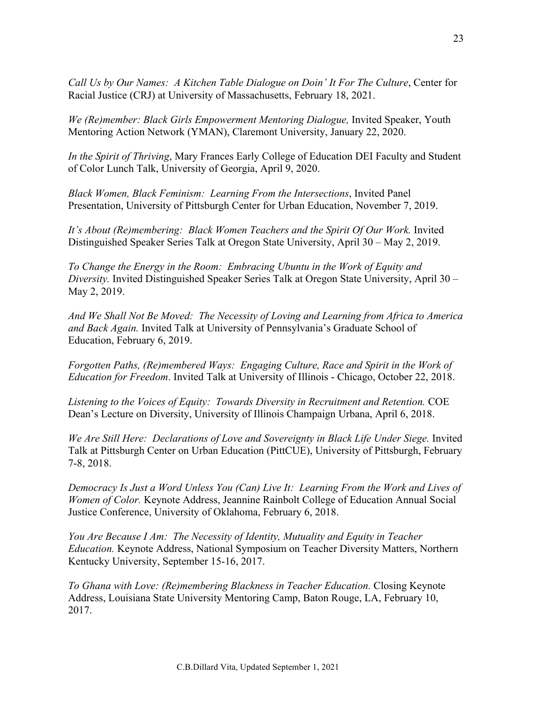*Call Us by Our Names: A Kitchen Table Dialogue on Doin' It For The Culture*, Center for Racial Justice (CRJ) at University of Massachusetts, February 18, 2021.

*We (Re)member: Black Girls Empowerment Mentoring Dialogue,* Invited Speaker, Youth Mentoring Action Network (YMAN), Claremont University, January 22, 2020.

*In the Spirit of Thriving*, Mary Frances Early College of Education DEI Faculty and Student of Color Lunch Talk, University of Georgia, April 9, 2020.

*Black Women, Black Feminism: Learning From the Intersections*, Invited Panel Presentation, University of Pittsburgh Center for Urban Education, November 7, 2019.

*It's About (Re)membering: Black Women Teachers and the Spirit Of Our Work.* Invited Distinguished Speaker Series Talk at Oregon State University, April 30 – May 2, 2019.

*To Change the Energy in the Room: Embracing Ubuntu in the Work of Equity and Diversity.* Invited Distinguished Speaker Series Talk at Oregon State University, April 30 – May 2, 2019.

*And We Shall Not Be Moved: The Necessity of Loving and Learning from Africa to America and Back Again.* Invited Talk at University of Pennsylvania's Graduate School of Education, February 6, 2019.

*Forgotten Paths, (Re)membered Ways: Engaging Culture, Race and Spirit in the Work of Education for Freedom*. Invited Talk at University of Illinois - Chicago, October 22, 2018.

*Listening to the Voices of Equity: Towards Diversity in Recruitment and Retention.* COE Dean's Lecture on Diversity, University of Illinois Champaign Urbana, April 6, 2018.

*We Are Still Here: Declarations of Love and Sovereignty in Black Life Under Siege.* Invited Talk at Pittsburgh Center on Urban Education (PittCUE), University of Pittsburgh, February 7-8, 2018.

*Democracy Is Just a Word Unless You (Can) Live It: Learning From the Work and Lives of Women of Color.* Keynote Address, Jeannine Rainbolt College of Education Annual Social Justice Conference, University of Oklahoma, February 6, 2018.

*You Are Because I Am: The Necessity of Identity, Mutuality and Equity in Teacher Education.* Keynote Address, National Symposium on Teacher Diversity Matters, Northern Kentucky University, September 15-16, 2017.

*To Ghana with Love: (Re)membering Blackness in Teacher Education.* Closing Keynote Address, Louisiana State University Mentoring Camp, Baton Rouge, LA, February 10, 2017.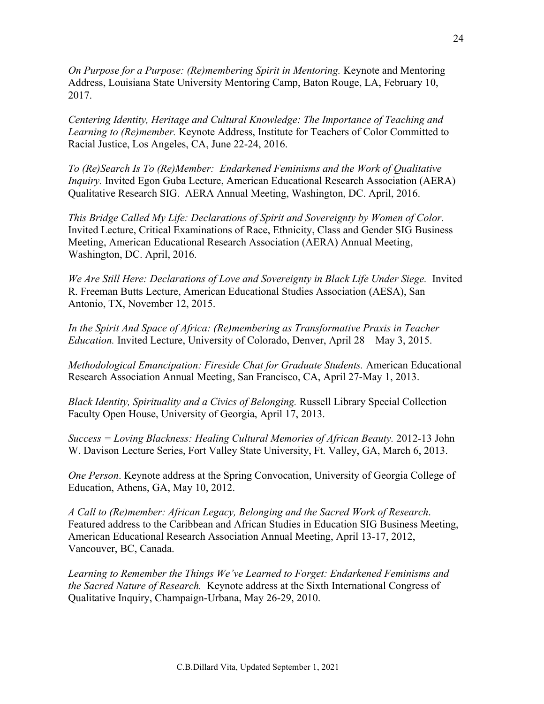*On Purpose for a Purpose: (Re)membering Spirit in Mentoring.* Keynote and Mentoring Address, Louisiana State University Mentoring Camp, Baton Rouge, LA, February 10, 2017.

*Centering Identity, Heritage and Cultural Knowledge: The Importance of Teaching and Learning to (Re)member.* Keynote Address, Institute for Teachers of Color Committed to Racial Justice, Los Angeles, CA, June 22-24, 2016.

*To (Re)Search Is To (Re)Member: Endarkened Feminisms and the Work of Qualitative Inquiry*. Invited Egon Guba Lecture, American Educational Research Association (AERA) Qualitative Research SIG. AERA Annual Meeting, Washington, DC. April, 2016.

*This Bridge Called My Life: Declarations of Spirit and Sovereignty by Women of Color.*  Invited Lecture, Critical Examinations of Race, Ethnicity, Class and Gender SIG Business Meeting, American Educational Research Association (AERA) Annual Meeting, Washington, DC. April, 2016.

*We Are Still Here: Declarations of Love and Sovereignty in Black Life Under Siege.* Invited R. Freeman Butts Lecture, American Educational Studies Association (AESA), San Antonio, TX, November 12, 2015.

*In the Spirit And Space of Africa: (Re)membering as Transformative Praxis in Teacher Education.* Invited Lecture, University of Colorado, Denver, April 28 – May 3, 2015.

*Methodological Emancipation: Fireside Chat for Graduate Students.* American Educational Research Association Annual Meeting, San Francisco, CA, April 27-May 1, 2013.

*Black Identity, Spirituality and a Civics of Belonging.* Russell Library Special Collection Faculty Open House, University of Georgia, April 17, 2013.

*Success = Loving Blackness: Healing Cultural Memories of African Beauty.* 2012-13 John W. Davison Lecture Series, Fort Valley State University, Ft. Valley, GA, March 6, 2013.

*One Person*. Keynote address at the Spring Convocation, University of Georgia College of Education, Athens, GA, May 10, 2012.

*A Call to (Re)member: African Legacy, Belonging and the Sacred Work of Research*. Featured address to the Caribbean and African Studies in Education SIG Business Meeting, American Educational Research Association Annual Meeting, April 13-17, 2012, Vancouver, BC, Canada.

*Learning to Remember the Things We've Learned to Forget: Endarkened Feminisms and the Sacred Nature of Research.* Keynote address at the Sixth International Congress of Qualitative Inquiry, Champaign-Urbana, May 26-29, 2010.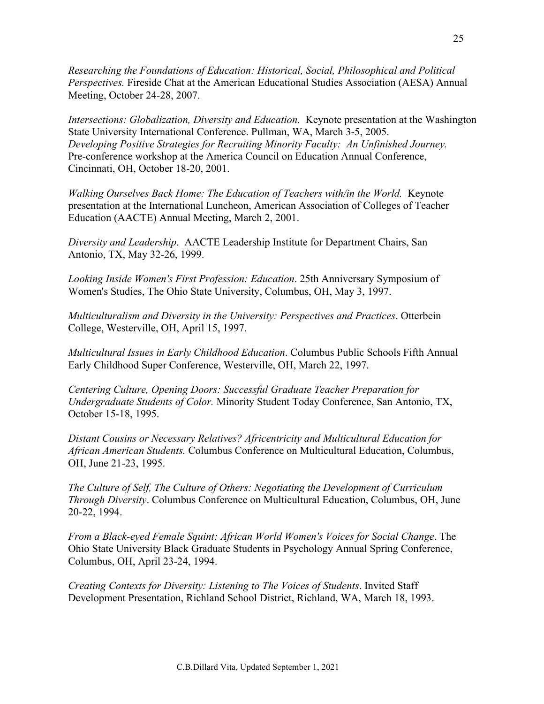*Researching the Foundations of Education: Historical, Social, Philosophical and Political Perspectives.* Fireside Chat at the American Educational Studies Association (AESA) Annual Meeting, October 24-28, 2007.

*Intersections: Globalization, Diversity and Education.* Keynote presentation at the Washington State University International Conference. Pullman, WA, March 3-5, 2005. *Developing Positive Strategies for Recruiting Minority Faculty: An Unfinished Journey.* Pre-conference workshop at the America Council on Education Annual Conference, Cincinnati, OH, October 18-20, 2001.

*Walking Ourselves Back Home: The Education of Teachers with/in the World.* Keynote presentation at the International Luncheon, American Association of Colleges of Teacher Education (AACTE) Annual Meeting, March 2, 2001.

*Diversity and Leadership*. AACTE Leadership Institute for Department Chairs, San Antonio, TX, May 32-26, 1999.

*Looking Inside Women's First Profession: Education*. 25th Anniversary Symposium of Women's Studies, The Ohio State University, Columbus, OH, May 3, 1997.

*Multiculturalism and Diversity in the University: Perspectives and Practices*. Otterbein College, Westerville, OH, April 15, 1997.

*Multicultural Issues in Early Childhood Education*. Columbus Public Schools Fifth Annual Early Childhood Super Conference, Westerville, OH, March 22, 1997.

*Centering Culture, Opening Doors: Successful Graduate Teacher Preparation for Undergraduate Students of Color.* Minority Student Today Conference, San Antonio, TX, October 15-18, 1995.

*Distant Cousins or Necessary Relatives? Africentricity and Multicultural Education for African American Students.* Columbus Conference on Multicultural Education, Columbus, OH, June 21-23, 1995.

*The Culture of Self, The Culture of Others: Negotiating the Development of Curriculum Through Diversity*. Columbus Conference on Multicultural Education, Columbus, OH, June 20-22, 1994.

*From a Black-eyed Female Squint: African World Women's Voices for Social Change*. The Ohio State University Black Graduate Students in Psychology Annual Spring Conference, Columbus, OH, April 23-24, 1994.

*Creating Contexts for Diversity: Listening to The Voices of Students*. Invited Staff Development Presentation, Richland School District, Richland, WA, March 18, 1993.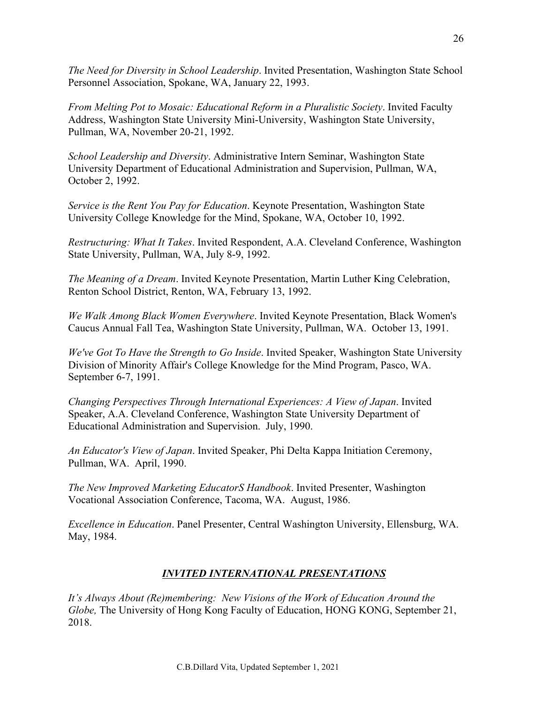*The Need for Diversity in School Leadership*. Invited Presentation, Washington State School Personnel Association, Spokane, WA, January 22, 1993.

*From Melting Pot to Mosaic: Educational Reform in a Pluralistic Society*. Invited Faculty Address, Washington State University Mini-University, Washington State University, Pullman, WA, November 20-21, 1992.

*School Leadership and Diversity*. Administrative Intern Seminar, Washington State University Department of Educational Administration and Supervision, Pullman, WA, October 2, 1992.

*Service is the Rent You Pay for Education*. Keynote Presentation, Washington State University College Knowledge for the Mind, Spokane, WA, October 10, 1992.

*Restructuring: What It Takes*. Invited Respondent, A.A. Cleveland Conference, Washington State University, Pullman, WA, July 8-9, 1992.

*The Meaning of a Dream*. Invited Keynote Presentation, Martin Luther King Celebration, Renton School District, Renton, WA, February 13, 1992.

*We Walk Among Black Women Everywhere*. Invited Keynote Presentation, Black Women's Caucus Annual Fall Tea, Washington State University, Pullman, WA. October 13, 1991.

*We've Got To Have the Strength to Go Inside*. Invited Speaker, Washington State University Division of Minority Affair's College Knowledge for the Mind Program, Pasco, WA. September 6-7, 1991.

*Changing Perspectives Through International Experiences: A View of Japan*. Invited Speaker, A.A. Cleveland Conference, Washington State University Department of Educational Administration and Supervision. July, 1990.

*An Educator's View of Japan*. Invited Speaker, Phi Delta Kappa Initiation Ceremony, Pullman, WA. April, 1990.

*The New Improved Marketing EducatorS Handbook*. Invited Presenter, Washington Vocational Association Conference, Tacoma, WA. August, 1986.

*Excellence in Education*. Panel Presenter, Central Washington University, Ellensburg, WA. May, 1984.

## *INVITED INTERNATIONAL PRESENTATIONS*

*It's Always About (Re)membering: New Visions of the Work of Education Around the Globe,* The University of Hong Kong Faculty of Education, HONG KONG, September 21, 2018.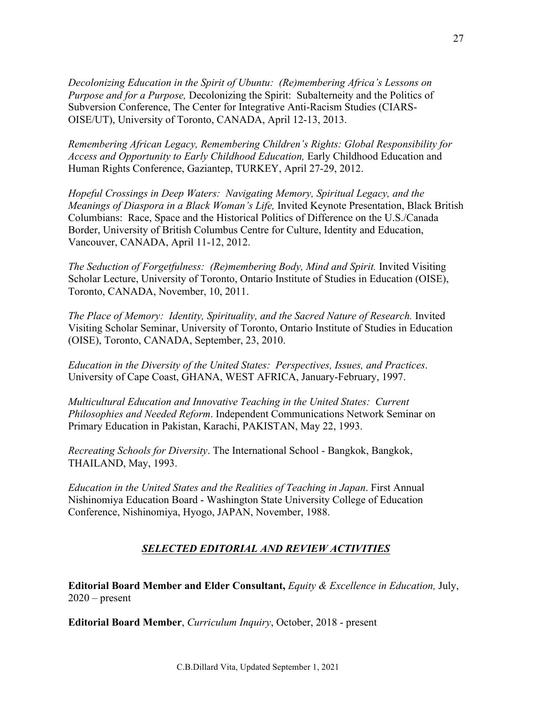*Decolonizing Education in the Spirit of Ubuntu: (Re)membering Africa's Lessons on Purpose and for a Purpose,* Decolonizing the Spirit: Subalterneity and the Politics of Subversion Conference, The Center for Integrative Anti-Racism Studies (CIARS-OISE/UT), University of Toronto, CANADA, April 12-13, 2013.

*Remembering African Legacy, Remembering Children's Rights: Global Responsibility for Access and Opportunity to Early Childhood Education,* Early Childhood Education and Human Rights Conference, Gaziantep, TURKEY, April 27-29, 2012.

*Hopeful Crossings in Deep Waters: Navigating Memory, Spiritual Legacy, and the Meanings of Diaspora in a Black Woman's Life,* Invited Keynote Presentation, Black British Columbians: Race, Space and the Historical Politics of Difference on the U.S./Canada Border, University of British Columbus Centre for Culture, Identity and Education, Vancouver, CANADA, April 11-12, 2012.

*The Seduction of Forgetfulness: (Re)membering Body, Mind and Spirit.* Invited Visiting Scholar Lecture, University of Toronto, Ontario Institute of Studies in Education (OISE), Toronto, CANADA, November, 10, 2011.

*The Place of Memory: Identity, Spirituality, and the Sacred Nature of Research.* Invited Visiting Scholar Seminar, University of Toronto, Ontario Institute of Studies in Education (OISE), Toronto, CANADA, September, 23, 2010.

*Education in the Diversity of the United States: Perspectives, Issues, and Practices*. University of Cape Coast, GHANA, WEST AFRICA, January-February, 1997.

*Multicultural Education and Innovative Teaching in the United States: Current Philosophies and Needed Reform*. Independent Communications Network Seminar on Primary Education in Pakistan, Karachi, PAKISTAN, May 22, 1993.

*Recreating Schools for Diversity*. The International School - Bangkok, Bangkok, THAILAND, May, 1993.

*Education in the United States and the Realities of Teaching in Japan*. First Annual Nishinomiya Education Board - Washington State University College of Education Conference, Nishinomiya, Hyogo, JAPAN, November, 1988.

# *SELECTED EDITORIAL AND REVIEW ACTIVITIES*

**Editorial Board Member and Elder Consultant,** *Equity & Excellence in Education,* July,  $2020$  – present

**Editorial Board Member**, *Curriculum Inquiry*, October, 2018 - present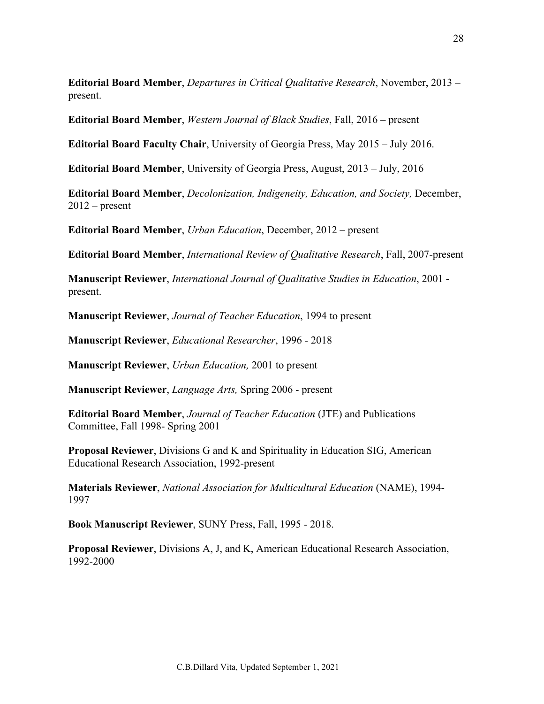**Editorial Board Member**, *Departures in Critical Qualitative Research*, November, 2013 – present.

**Editorial Board Member**, *Western Journal of Black Studies*, Fall, 2016 – present

**Editorial Board Faculty Chair**, University of Georgia Press, May 2015 – July 2016.

**Editorial Board Member**, University of Georgia Press, August, 2013 – July, 2016

**Editorial Board Member**, *Decolonization, Indigeneity, Education, and Society,* December,  $2012$  – present

**Editorial Board Member**, *Urban Education*, December, 2012 – present

**Editorial Board Member**, *International Review of Qualitative Research*, Fall, 2007-present

**Manuscript Reviewer**, *International Journal of Qualitative Studies in Education*, 2001 present.

**Manuscript Reviewer**, *Journal of Teacher Education*, 1994 to present

**Manuscript Reviewer**, *Educational Researcher*, 1996 - 2018

**Manuscript Reviewer**, *Urban Education,* 2001 to present

**Manuscript Reviewer**, *Language Arts,* Spring 2006 - present

**Editorial Board Member**, *Journal of Teacher Education* (JTE) and Publications Committee, Fall 1998- Spring 2001

**Proposal Reviewer**, Divisions G and K and Spirituality in Education SIG, American Educational Research Association, 1992-present

**Materials Reviewer**, *National Association for Multicultural Education* (NAME), 1994- 1997

**Book Manuscript Reviewer**, SUNY Press, Fall, 1995 - 2018.

**Proposal Reviewer**, Divisions A, J, and K, American Educational Research Association, 1992-2000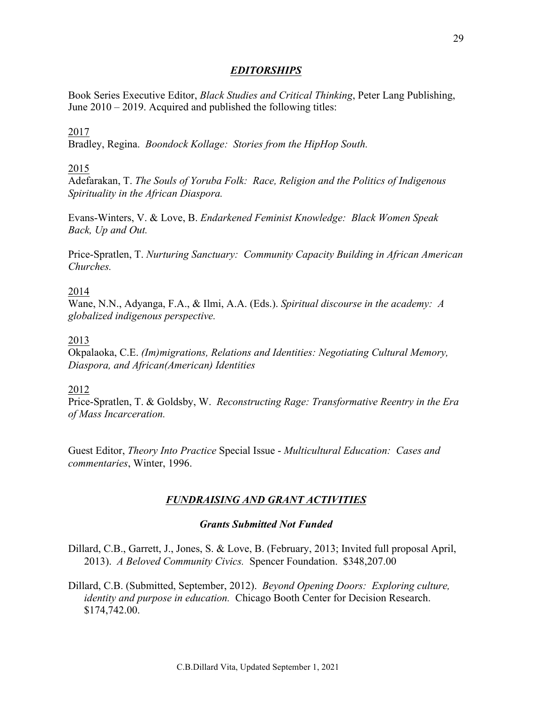## *EDITORSHIPS*

Book Series Executive Editor, *Black Studies and Critical Thinking*, Peter Lang Publishing, June 2010 – 2019. Acquired and published the following titles:

## 2017

Bradley, Regina. *Boondock Kollage: Stories from the HipHop South.*

## 2015

Adefarakan, T. *The Souls of Yoruba Folk: Race, Religion and the Politics of Indigenous Spirituality in the African Diaspora.* 

Evans-Winters, V. & Love, B. *Endarkened Feminist Knowledge: Black Women Speak Back, Up and Out.*

Price-Spratlen, T. *Nurturing Sanctuary: Community Capacity Building in African American Churches.*

### 2014

Wane, N.N., Adyanga, F.A., & Ilmi, A.A. (Eds.). *Spiritual discourse in the academy: A globalized indigenous perspective.*

### 2013

Okpalaoka, C.E. *(Im)migrations, Relations and Identities: Negotiating Cultural Memory, Diaspora, and African(American) Identities*

### 2012

Price-Spratlen, T. & Goldsby, W. *Reconstructing Rage: Transformative Reentry in the Era of Mass Incarceration.*

Guest Editor, *Theory Into Practice* Special Issue - *Multicultural Education: Cases and commentaries*, Winter, 1996.

## *FUNDRAISING AND GRANT ACTIVITIES*

### *Grants Submitted Not Funded*

Dillard, C.B., Garrett, J., Jones, S. & Love, B. (February, 2013; Invited full proposal April, 2013). *A Beloved Community Civics.* Spencer Foundation. \$348,207.00

Dillard, C.B. (Submitted, September, 2012). *Beyond Opening Doors: Exploring culture, identity and purpose in education.* Chicago Booth Center for Decision Research. \$174,742.00.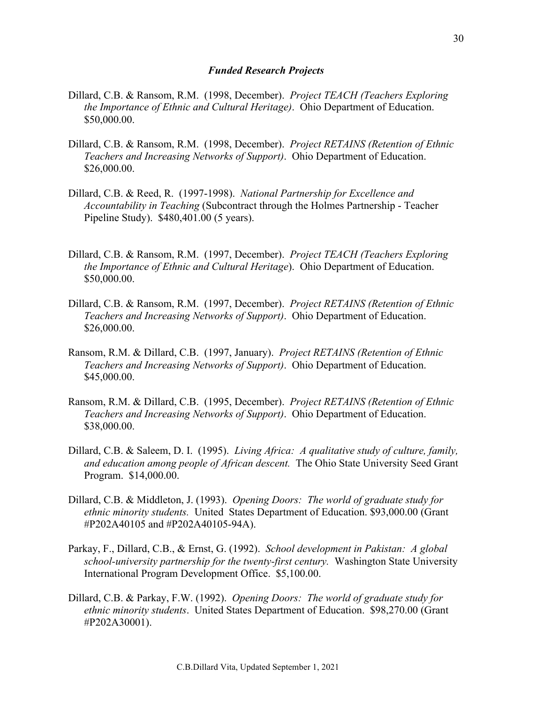#### *Funded Research Projects*

- Dillard, C.B. & Ransom, R.M. (1998, December). *Project TEACH (Teachers Exploring the Importance of Ethnic and Cultural Heritage)*. Ohio Department of Education. \$50,000.00.
- Dillard, C.B. & Ransom, R.M. (1998, December). *Project RETAINS (Retention of Ethnic Teachers and Increasing Networks of Support)*. Ohio Department of Education. \$26,000.00.
- Dillard, C.B. & Reed, R. (1997-1998). *National Partnership for Excellence and Accountability in Teaching* (Subcontract through the Holmes Partnership - Teacher Pipeline Study). \$480,401.00 (5 years).
- Dillard, C.B. & Ransom, R.M. (1997, December). *Project TEACH (Teachers Exploring the Importance of Ethnic and Cultural Heritage*). Ohio Department of Education. \$50,000.00.
- Dillard, C.B. & Ransom, R.M. (1997, December). *Project RETAINS (Retention of Ethnic Teachers and Increasing Networks of Support)*. Ohio Department of Education. \$26,000.00.
- Ransom, R.M. & Dillard, C.B. (1997, January). *Project RETAINS (Retention of Ethnic Teachers and Increasing Networks of Support)*. Ohio Department of Education. \$45,000.00.
- Ransom, R.M. & Dillard, C.B. (1995, December). *Project RETAINS (Retention of Ethnic Teachers and Increasing Networks of Support)*. Ohio Department of Education. \$38,000.00.
- Dillard, C.B. & Saleem, D. I. (1995). *Living Africa: A qualitative study of culture, family, and education among people of African descent.* The Ohio State University Seed Grant Program. \$14,000.00.
- Dillard, C.B. & Middleton, J. (1993). *Opening Doors: The world of graduate study for ethnic minority students.* United States Department of Education. \$93,000.00 (Grant #P202A40105 and #P202A40105-94A).
- Parkay, F., Dillard, C.B., & Ernst, G. (1992). *School development in Pakistan: A global school-university partnership for the twenty-first century.* Washington State University International Program Development Office. \$5,100.00.
- Dillard, C.B. & Parkay, F.W. (1992). *Opening Doors: The world of graduate study for ethnic minority students*. United States Department of Education. \$98,270.00 (Grant #P202A30001).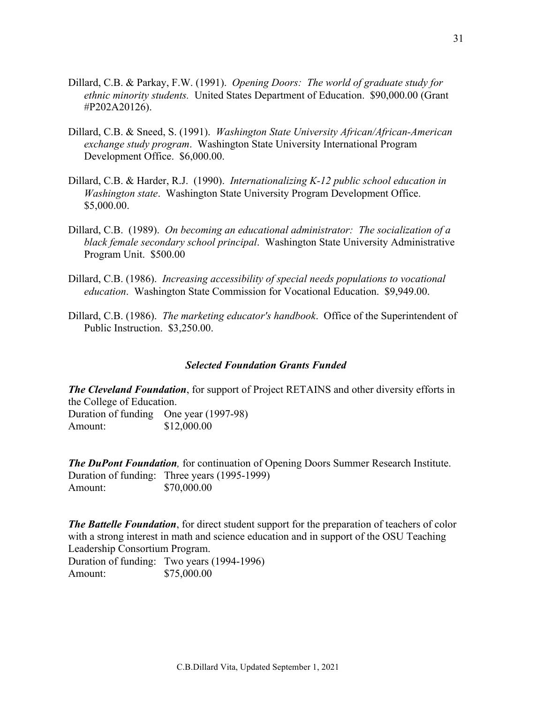- Dillard, C.B. & Parkay, F.W. (1991). *Opening Doors: The world of graduate study for ethnic minority students.* United States Department of Education. \$90,000.00 (Grant #P202A20126).
- Dillard, C.B. & Sneed, S. (1991). *Washington State University African/African-American exchange study program*. Washington State University International Program Development Office. \$6,000.00.
- Dillard, C.B. & Harder, R.J. (1990). *Internationalizing K-12 public school education in Washington state*. Washington State University Program Development Office. \$5,000.00.
- Dillard, C.B. (1989). *On becoming an educational administrator: The socialization of a black female secondary school principal*. Washington State University Administrative Program Unit. \$500.00
- Dillard, C.B. (1986). *Increasing accessibility of special needs populations to vocational education*. Washington State Commission for Vocational Education. \$9,949.00.
- Dillard, C.B. (1986). *The marketing educator's handbook*. Office of the Superintendent of Public Instruction. \$3,250.00.

### *Selected Foundation Grants Funded*

*The Cleveland Foundation*, for support of Project RETAINS and other diversity efforts in the College of Education. Duration of funding One year (1997-98) Amount: \$12,000.00

*The DuPont Foundation,* for continuation of Opening Doors Summer Research Institute. Duration of funding: Three years (1995-1999) Amount: \$70,000.00

*The Battelle Foundation*, for direct student support for the preparation of teachers of color with a strong interest in math and science education and in support of the OSU Teaching Leadership Consortium Program.

Duration of funding: Two years (1994-1996) Amount: \$75,000.00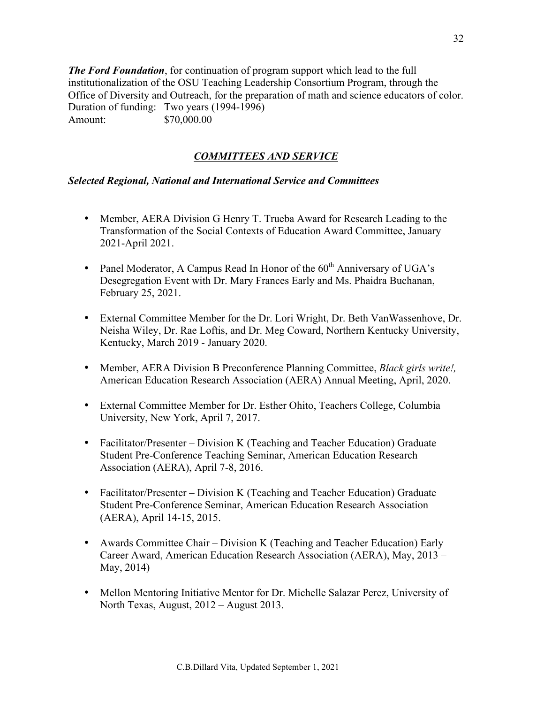*The Ford Foundation*, for continuation of program support which lead to the full institutionalization of the OSU Teaching Leadership Consortium Program, through the Office of Diversity and Outreach, for the preparation of math and science educators of color. Duration of funding: Two years (1994-1996) Amount: \$70,000.00

# *COMMITTEES AND SERVICE*

## *Selected Regional, National and International Service and Committees*

- Member, AERA Division G Henry T. Trueba Award for Research Leading to the Transformation of the Social Contexts of Education Award Committee, January 2021-April 2021.
- Panel Moderator, A Campus Read In Honor of the  $60<sup>th</sup>$  Anniversary of UGA's Desegregation Event with Dr. Mary Frances Early and Ms. Phaidra Buchanan, February 25, 2021.
- External Committee Member for the Dr. Lori Wright, Dr. Beth VanWassenhove, Dr. Neisha Wiley, Dr. Rae Loftis, and Dr. Meg Coward, Northern Kentucky University, Kentucky, March 2019 - January 2020.
- Member, AERA Division B Preconference Planning Committee, *Black girls write!,*  American Education Research Association (AERA) Annual Meeting, April, 2020.
- External Committee Member for Dr. Esther Ohito, Teachers College, Columbia University, New York, April 7, 2017.
- Facilitator/Presenter Division K (Teaching and Teacher Education) Graduate Student Pre-Conference Teaching Seminar, American Education Research Association (AERA), April 7-8, 2016.
- Facilitator/Presenter Division K (Teaching and Teacher Education) Graduate Student Pre-Conference Seminar, American Education Research Association (AERA), April 14-15, 2015.
- Awards Committee Chair Division K (Teaching and Teacher Education) Early Career Award, American Education Research Association (AERA), May, 2013 – May, 2014)
- Mellon Mentoring Initiative Mentor for Dr. Michelle Salazar Perez, University of North Texas, August, 2012 – August 2013.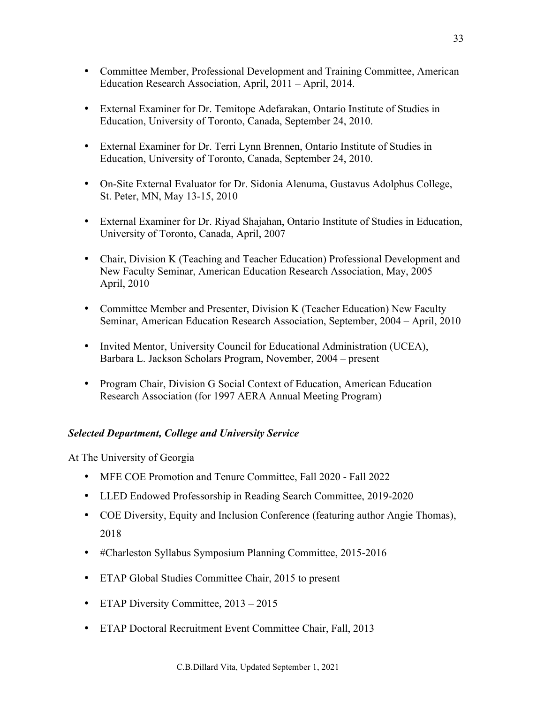- Committee Member, Professional Development and Training Committee, American Education Research Association, April, 2011 – April, 2014.
- External Examiner for Dr. Temitope Adefarakan, Ontario Institute of Studies in Education, University of Toronto, Canada, September 24, 2010.
- External Examiner for Dr. Terri Lynn Brennen, Ontario Institute of Studies in Education, University of Toronto, Canada, September 24, 2010.
- On-Site External Evaluator for Dr. Sidonia Alenuma, Gustavus Adolphus College, St. Peter, MN, May 13-15, 2010
- External Examiner for Dr. Riyad Shajahan, Ontario Institute of Studies in Education, University of Toronto, Canada, April, 2007
- Chair, Division K (Teaching and Teacher Education) Professional Development and New Faculty Seminar, American Education Research Association, May, 2005 – April, 2010
- Committee Member and Presenter, Division K (Teacher Education) New Faculty Seminar, American Education Research Association, September, 2004 – April, 2010
- Invited Mentor, University Council for Educational Administration (UCEA), Barbara L. Jackson Scholars Program, November, 2004 – present
- Program Chair, Division G Social Context of Education, American Education Research Association (for 1997 AERA Annual Meeting Program)

## *Selected Department, College and University Service*

## At The University of Georgia

- MFE COE Promotion and Tenure Committee, Fall 2020 Fall 2022
- LLED Endowed Professorship in Reading Search Committee, 2019-2020
- COE Diversity, Equity and Inclusion Conference (featuring author Angie Thomas), 2018
- #Charleston Syllabus Symposium Planning Committee, 2015-2016
- ETAP Global Studies Committee Chair, 2015 to present
- ETAP Diversity Committee, 2013 2015
- ETAP Doctoral Recruitment Event Committee Chair, Fall, 2013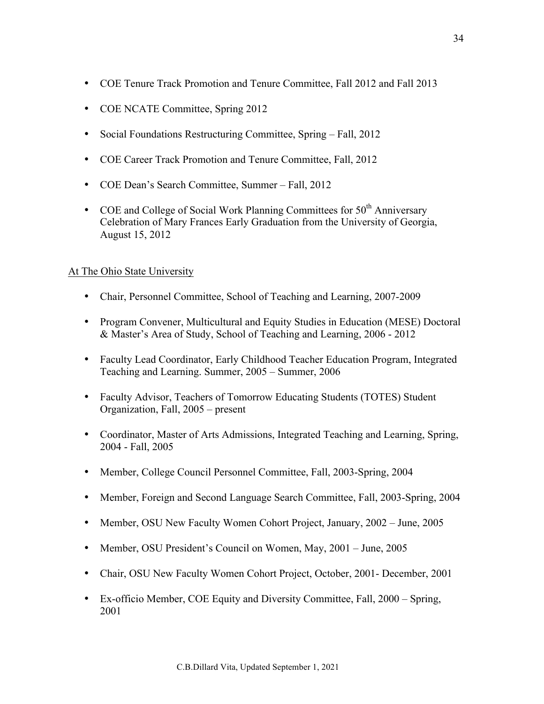- COE Tenure Track Promotion and Tenure Committee, Fall 2012 and Fall 2013
- COE NCATE Committee, Spring 2012
- Social Foundations Restructuring Committee, Spring Fall, 2012
- COE Career Track Promotion and Tenure Committee, Fall, 2012
- COE Dean's Search Committee, Summer Fall, 2012
- COE and College of Social Work Planning Committees for  $50<sup>th</sup>$  Anniversary Celebration of Mary Frances Early Graduation from the University of Georgia, August 15, 2012

## At The Ohio State University

- Chair, Personnel Committee, School of Teaching and Learning, 2007-2009
- Program Convener, Multicultural and Equity Studies in Education (MESE) Doctoral & Master's Area of Study, School of Teaching and Learning, 2006 - 2012
- Faculty Lead Coordinator, Early Childhood Teacher Education Program, Integrated Teaching and Learning. Summer, 2005 – Summer, 2006
- Faculty Advisor, Teachers of Tomorrow Educating Students (TOTES) Student Organization, Fall, 2005 – present
- Coordinator, Master of Arts Admissions, Integrated Teaching and Learning, Spring, 2004 - Fall, 2005
- Member, College Council Personnel Committee, Fall, 2003-Spring, 2004
- Member, Foreign and Second Language Search Committee, Fall, 2003-Spring, 2004
- Member, OSU New Faculty Women Cohort Project, January, 2002 June, 2005
- Member, OSU President's Council on Women, May, 2001 June, 2005
- Chair, OSU New Faculty Women Cohort Project, October, 2001 December, 2001
- Ex-officio Member, COE Equity and Diversity Committee, Fall, 2000 Spring, 2001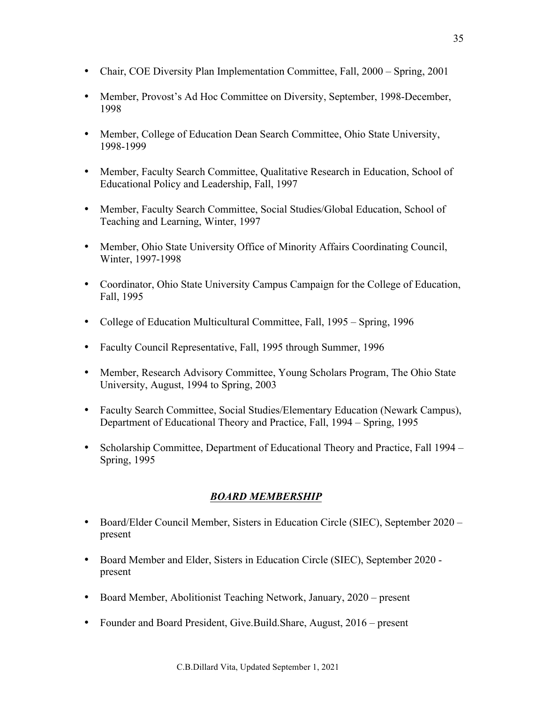- Chair, COE Diversity Plan Implementation Committee, Fall, 2000 Spring, 2001
- Member, Provost's Ad Hoc Committee on Diversity, September, 1998-December, 1998
- Member, College of Education Dean Search Committee, Ohio State University, 1998-1999
- Member, Faculty Search Committee, Qualitative Research in Education, School of Educational Policy and Leadership, Fall, 1997
- Member, Faculty Search Committee, Social Studies/Global Education, School of Teaching and Learning, Winter, 1997
- Member, Ohio State University Office of Minority Affairs Coordinating Council, Winter, 1997-1998
- Coordinator, Ohio State University Campus Campaign for the College of Education, Fall, 1995
- College of Education Multicultural Committee, Fall, 1995 Spring, 1996
- Faculty Council Representative, Fall, 1995 through Summer, 1996
- Member, Research Advisory Committee, Young Scholars Program, The Ohio State University, August, 1994 to Spring, 2003
- Faculty Search Committee, Social Studies/Elementary Education (Newark Campus), Department of Educational Theory and Practice, Fall, 1994 – Spring, 1995
- Scholarship Committee, Department of Educational Theory and Practice, Fall 1994 Spring, 1995

# *BOARD MEMBERSHIP*

- Board/Elder Council Member, Sisters in Education Circle (SIEC), September 2020 present
- Board Member and Elder, Sisters in Education Circle (SIEC), September 2020 present
- Board Member, Abolitionist Teaching Network, January, 2020 present
- Founder and Board President, Give.Build.Share, August, 2016 present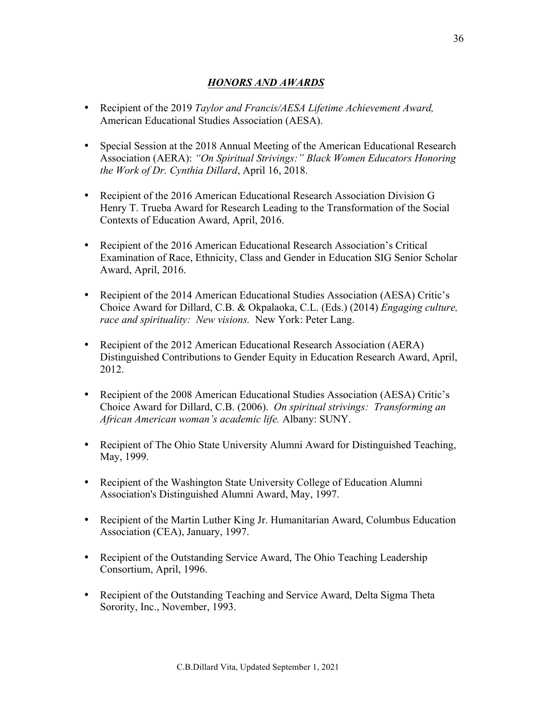## *HONORS AND AWARDS*

- Recipient of the 2019 *Taylor and Francis/AESA Lifetime Achievement Award,*  American Educational Studies Association (AESA).
- Special Session at the 2018 Annual Meeting of the American Educational Research Association (AERA): *"On Spiritual Strivings:" Black Women Educators Honoring the Work of Dr. Cynthia Dillard*, April 16, 2018.
- Recipient of the 2016 American Educational Research Association Division G Henry T. Trueba Award for Research Leading to the Transformation of the Social Contexts of Education Award, April, 2016.
- Recipient of the 2016 American Educational Research Association's Critical Examination of Race, Ethnicity, Class and Gender in Education SIG Senior Scholar Award, April, 2016.
- Recipient of the 2014 American Educational Studies Association (AESA) Critic's Choice Award for Dillard, C.B. & Okpalaoka, C.L. (Eds.) (2014) *Engaging culture, race and spirituality: New visions.* New York: Peter Lang.
- Recipient of the 2012 American Educational Research Association (AERA) Distinguished Contributions to Gender Equity in Education Research Award, April, 2012.
- Recipient of the 2008 American Educational Studies Association (AESA) Critic's Choice Award for Dillard, C.B. (2006). *On spiritual strivings: Transforming an African American woman's academic life.* Albany: SUNY.
- Recipient of The Ohio State University Alumni Award for Distinguished Teaching, May, 1999.
- Recipient of the Washington State University College of Education Alumni Association's Distinguished Alumni Award, May, 1997.
- Recipient of the Martin Luther King Jr. Humanitarian Award, Columbus Education Association (CEA), January, 1997.
- Recipient of the Outstanding Service Award, The Ohio Teaching Leadership Consortium, April, 1996.
- Recipient of the Outstanding Teaching and Service Award, Delta Sigma Theta Sorority, Inc., November, 1993.